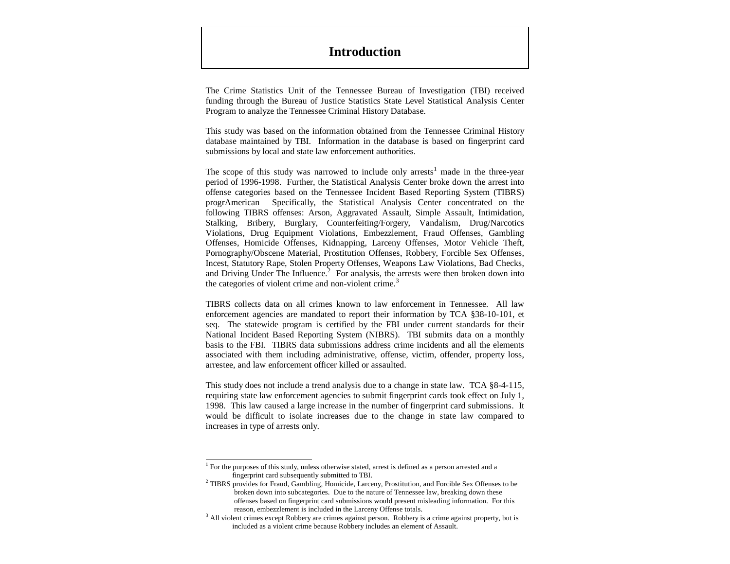# **Introduction**

The Crime Statistics Unit of the Tennessee Bureau of Investigation (TBI) received funding through the Bureau of Justice Statistics State Level Statistical Analysis Center Program to analyze the Tennessee Criminal History Database.

This study was based on the information obtained from the Tennessee Criminal History database maintained by TBI. Information in the database is based on fingerprint card submissions by local and state law enforcement authorities.

The scope of this study was narrowed to include only arrests<sup>1</sup> made in the three-year period of 1996-1998. Further, the Statistical Analysis Center broke down the arrest into offense categories based on the Tennessee Incident Based Reporting System (TIBRS) progrAmerican Specifically, the Statistical Analysis Center concentrated on the following TIBRS offenses: Arson, Aggravated Assault, Simple Assault, Intimidation, Stalking, Bribery, Burglary, Counterfeiting/Forgery, Vandalism, Drug/Narcotics Violations, Drug Equipment Violations, Embezzlement, Fraud Offenses, Gambling Offenses, Homicide Offenses, Kidnapping, Larceny Offenses, Motor Vehicle Theft, Pornography/Obscene Material, Prostitution Offenses, Robbery, Forcible Sex Offenses, Incest, Statutory Rape, Stolen Property Offenses, Weapons Law Violations, Bad Checks, and Driving Under The Influence. $2$  For analysis, the arrests were then broken down into the categories of violent crime and non-violent crime.<sup>3</sup>

TIBRS collects data on all crimes known to law enforcement in Tennessee. All law enforcement agencies are mandated to report their information by TCA §38-10-101, et seq. The statewide program is certified by the FBI under current standards for their National Incident Based Reporting System (NIBRS). TBI submits data on a monthly basis to the FBI. TIBRS data submissions address crime incidents and all the elements associated with them including administrative, offense, victim, offender, property loss, arrestee, and law enforcement officer killed or assaulted.

This study does not include a trend analysis due to a change in state law. TCA §8-4-115, requiring state law enforcement agencies to submit fingerprint cards took effect on July 1, 1998. This law caused a large increase in the number of fingerprint card submissions. It would be difficult to isolate increases due to the change in state law compared to increases in type of arrests only.

 $\overline{a}$ 

<sup>&</sup>lt;sup>1</sup> For the purposes of this study, unless otherwise stated, arrest is defined as a person arrested and a fingerprint card subsequently submitted to TBI.

<sup>&</sup>lt;sup>2</sup> TIBRS provides for Fraud, Gambling, Homicide, Larceny, Prostitution, and Forcible Sex Offenses to be broken down into subcategories. Due to the nature of Tennessee law, breaking down these offenses based on fingerprint card submissions would present misleading information. For this reason, embezzlement is included in the Larceny Offense totals.

<sup>&</sup>lt;sup>3</sup> All violent crimes except Robbery are crimes against person. Robbery is a crime against property, but is included as a violent crime because Robbery includes an element of Assault.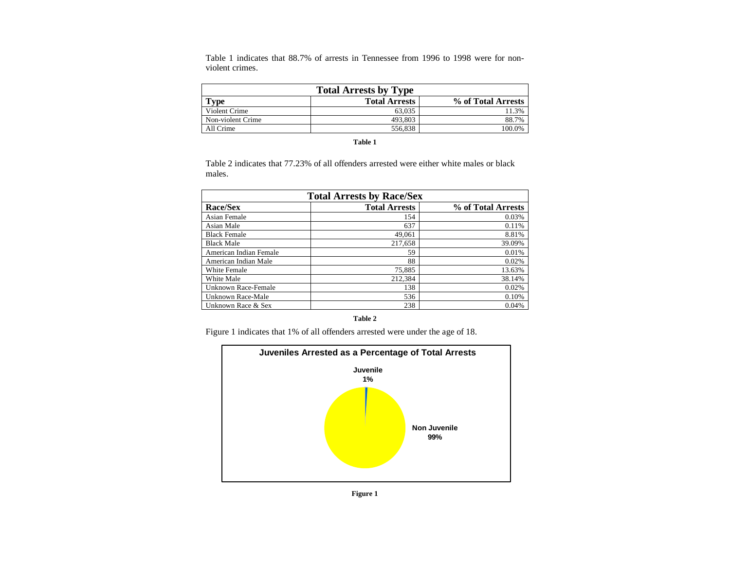Table 1 indicates that 88.7% of arrests in Tennessee from 1996 to 1998 were for nonviolent crimes.

| <b>Total Arrests by Type</b>                       |         |        |  |  |  |
|----------------------------------------------------|---------|--------|--|--|--|
| % of Total Arrests<br><b>Total Arrests</b><br>Type |         |        |  |  |  |
| Violent Crime                                      | 63,035  | 11.3%  |  |  |  |
| Non-violent Crime                                  | 493.803 | 88.7%  |  |  |  |
| All Crime                                          | 556.838 | 100.0% |  |  |  |

#### **Table 1**

Table 2 indicates that 77.23% of all offenders arrested were either white males or black males.

| <b>Total Arrests by Race/Sex</b> |                      |                    |  |  |
|----------------------------------|----------------------|--------------------|--|--|
| Race/Sex                         | <b>Total Arrests</b> | % of Total Arrests |  |  |
| Asian Female                     | 154                  | 0.03%              |  |  |
| Asian Male                       | 637                  | 0.11%              |  |  |
| <b>Black Female</b>              | 49,061               | 8.81%              |  |  |
| <b>Black Male</b>                | 217,658              | 39.09%             |  |  |
| American Indian Female           | 59                   | 0.01%              |  |  |
| American Indian Male             | 88                   | 0.02%              |  |  |
| White Female                     | 75,885               | 13.63%             |  |  |
| White Male                       | 212,384              | 38.14%             |  |  |
| Unknown Race-Female              | 138                  | 0.02%              |  |  |
| Unknown Race-Male                | 536                  | 0.10%              |  |  |
| Unknown Race & Sex               | 238                  | 0.04%              |  |  |

**Table 2**

Figure 1 indicates that 1% of all offenders arrested were under the age of 18.



**Figure 1**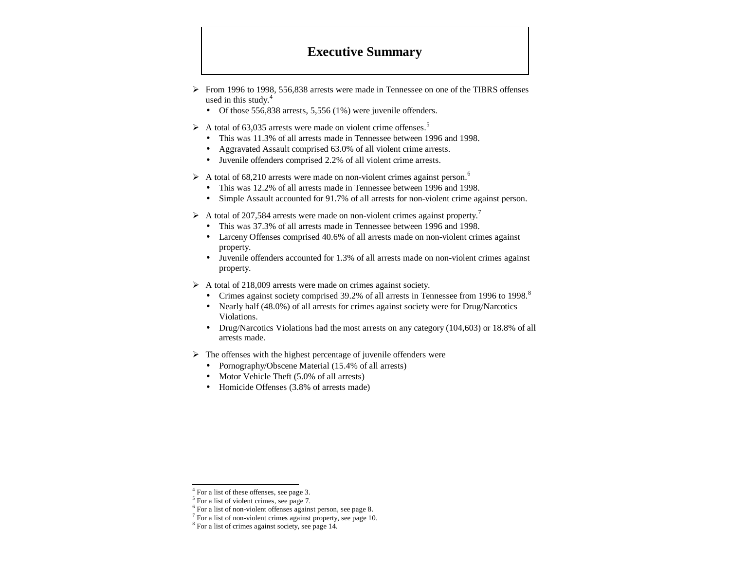# **Executive Summary**

- $\triangleright$  From 1996 to 1998, 556,838 arrests were made in Tennessee on one of the TIBRS offenses used in this study. $4$ 
	- Of those 556,838 arrests, 5,556 (1%) were juvenile offenders.
- $\triangleright$  A total of 63,035 arrests were made on violent crime offenses.<sup>5</sup>
	- This was 11.3% of all arrests made in Tennessee between 1996 and 1998.
	- Aggravated Assault comprised 63.0% of all violent crime arrests.
	- Juvenile offenders comprised 2.2% of all violent crime arrests.
- $\triangleright$  A total of 68,210 arrests were made on non-violent crimes against person.<sup>6</sup>
	- This was 12.2% of all arrests made in Tennessee between 1996 and 1998.
	- Simple Assault accounted for 91.7% of all arrests for non-violent crime against person.
- $\triangleright$  A total of 207,584 arrests were made on non-violent crimes against property.<sup>7</sup>
	- This was 37.3% of all arrests made in Tennessee between 1996 and 1998.
	- Larceny Offenses comprised 40.6% of all arrests made on non-violent crimes against property.
	- Juvenile offenders accounted for 1.3% of all arrests made on non-violent crimes against property.
- $\triangleright$  A total of 218,009 arrests were made on crimes against society.
	- Crimes against society comprised  $39.2\%$  of all arrests in Tennessee from 1996 to 1998.<sup>8</sup>
	- Nearly half (48.0%) of all arrests for crimes against society were for Drug/Narcotics Violations.
	- Drug/Narcotics Violations had the most arrests on any category (104,603) or 18.8% of all arrests made.
- $\triangleright$  The offenses with the highest percentage of juvenile offenders were
	- Pornography/Obscene Material (15.4% of all arrests)
	- Motor Vehicle Theft (5.0% of all arrests)
	- Homicide Offenses (3.8% of arrests made)

 $\overline{a}$ 

<sup>&</sup>lt;sup>4</sup> For a list of these offenses, see page 3.

<sup>&</sup>lt;sup>5</sup> For a list of violent crimes, see page 7.

<sup>6</sup> For a list of non-violent offenses against person, see page 8.

<sup>&</sup>lt;sup>7</sup> For a list of non-violent crimes against property, see page 10.

<sup>&</sup>lt;sup>8</sup> For a list of crimes against society, see page 14.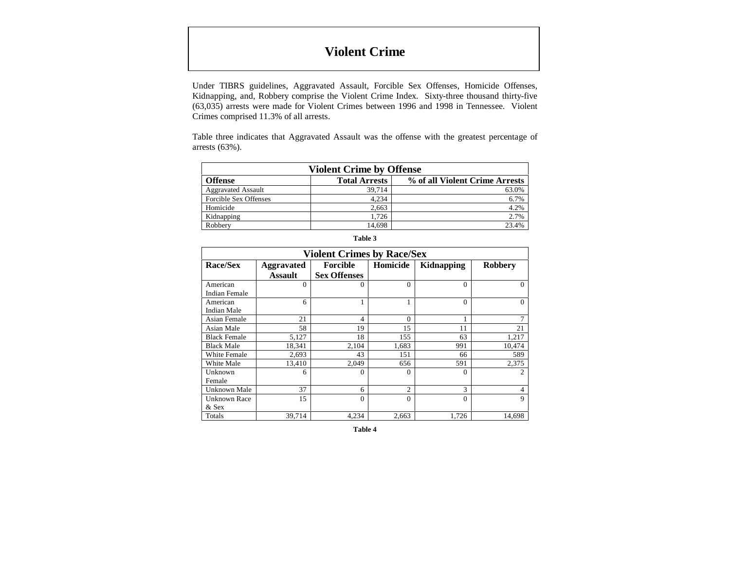# **Violent Crime**

Under TIBRS guidelines, Aggravated Assault, Forcible Sex Offenses, Homicide Offenses, Kidnapping, and, Robbery comprise the Violent Crime Index. Sixty-three thousand thirty-five (63,035) arrests were made for Violent Crimes between 1996 and 1998 in Tennessee. Violent Crimes comprised 11.3% of all arrests.

Table three indicates that Aggravated Assault was the offense with the greatest percentage of arrests (63%).

| <b>Violent Crime by Offense</b>                                   |        |       |  |  |  |
|-------------------------------------------------------------------|--------|-------|--|--|--|
| <b>Total Arrests</b><br>% of all Violent Crime Arrests<br>Offense |        |       |  |  |  |
| <b>Aggravated Assault</b>                                         | 39.714 | 63.0% |  |  |  |
| Forcible Sex Offenses                                             | 4.234  | 6.7%  |  |  |  |
| Homicide                                                          | 2.663  | 4.2%  |  |  |  |
| Kidnapping                                                        | 1.726  | 2.7%  |  |  |  |
| Robbery                                                           | 14.698 | 23.4% |  |  |  |

| <b>Violent Crimes by Race/Sex</b> |                                     |                                 |                |            |                |
|-----------------------------------|-------------------------------------|---------------------------------|----------------|------------|----------------|
| Race/Sex                          | <b>Aggravated</b><br><b>Assault</b> | Forcible<br><b>Sex Offenses</b> | Homicide       | Kidnapping | <b>Robbery</b> |
| American<br><b>Indian Female</b>  | $\Omega$                            | $\Omega$                        | $\Omega$       | $\Omega$   | $\Omega$       |
| American<br>Indian Male           | 6                                   |                                 |                | $\Omega$   | $\Omega$       |
| Asian Female                      | 21                                  | 4                               | $\Omega$       |            |                |
| Asian Male                        | 58                                  | 19                              | 15             | 11         | 21             |
| <b>Black Female</b>               | 5,127                               | 18                              | 155            | 63         | 1,217          |
| <b>Black Male</b>                 | 18,341                              | 2,104                           | 1,683          | 991        | 10,474         |
| White Female                      | 2,693                               | 43                              | 151            | 66         | 589            |
| White Male                        | 13,410                              | 2,049                           | 656            | 591        | 2,375          |
| Unknown<br>Female                 | 6                                   | $\Omega$                        | $\Omega$       | $\Omega$   | $\overline{c}$ |
| Unknown Male                      | 37                                  | 6                               | $\overline{c}$ | 3          | 4              |
| Unknown Race<br>& Sex             | 15                                  | $\Omega$                        | $\Omega$       | $\Omega$   | 9              |
| Totals                            | 39,714                              | 4,234                           | 2,663          | 1,726      | 14,698         |

**Table 3**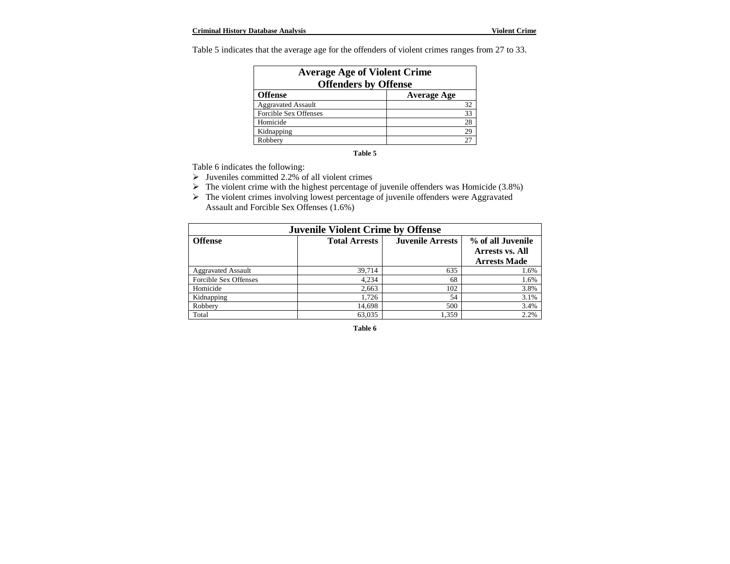Table 5 indicates that the average age for the offenders of violent crimes ranges from 27 to 33.

| <b>Average Age of Violent Crime</b><br><b>Offenders by Offense</b> |                    |  |  |
|--------------------------------------------------------------------|--------------------|--|--|
| <b>Offense</b>                                                     | <b>Average Age</b> |  |  |
| <b>Aggravated Assault</b>                                          | 32                 |  |  |
| Forcible Sex Offenses                                              | 33                 |  |  |
| Homicide                                                           | 28                 |  |  |
| Kidnapping                                                         | 29                 |  |  |
| Robbery                                                            | 27                 |  |  |

#### **Table 5**

Table 6 indicates the following:

- $\triangleright$  Juveniles committed 2.2% of all violent crimes
- $\triangleright$  The violent crime with the highest percentage of juvenile offenders was Homicide (3.8%)
- > The violent crimes involving lowest percentage of juvenile offenders were Aggravated Assault and Forcible Sex Offenses (1.6%)

| <b>Juvenile Violent Crime by Offense</b> |                      |                         |                                                             |  |
|------------------------------------------|----------------------|-------------------------|-------------------------------------------------------------|--|
| <b>Offense</b>                           | <b>Total Arrests</b> | <b>Juvenile Arrests</b> | % of all Juvenile<br>Arrests vs. All<br><b>Arrests Made</b> |  |
| <b>Aggravated Assault</b>                | 39,714               | 635                     | 1.6%                                                        |  |
| Forcible Sex Offenses                    | 4,234                | 68                      | 1.6%                                                        |  |
| Homicide                                 | 2,663                | 102                     | 3.8%                                                        |  |
| Kidnapping                               | 1,726                | 54                      | 3.1%                                                        |  |
| Robbery                                  | 14,698               | 500                     | 3.4%                                                        |  |
| Total                                    | 63,035               | 1.359                   | 2.2%                                                        |  |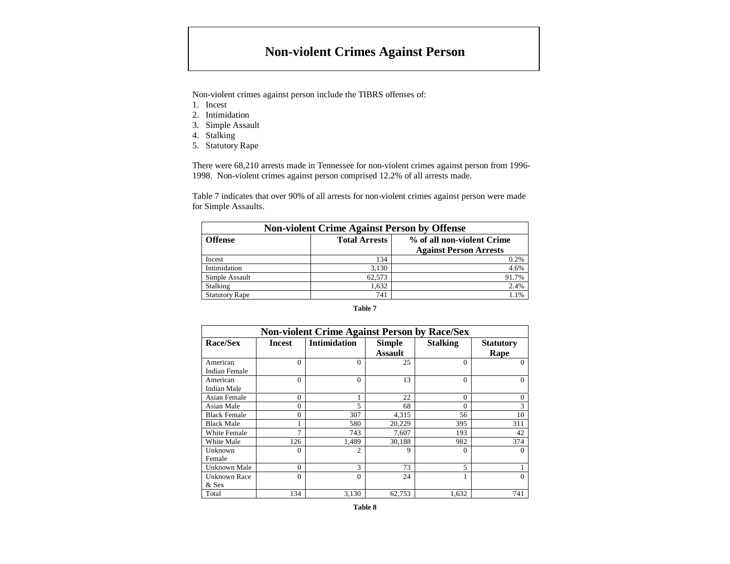# **Non-violent Crimes Against Person**

Non-violent crimes against person include the TIBRS offenses of:

- 1. Incest
- 2. Intimidation
- 3. Simple Assault
- 4. Stalking
- 5. Statutory Rape

There were 68,210 arrests made in Tennessee for non-violent crimes against person from 1996- 1998. Non-violent crimes against person comprised 12.2% of all arrests made.

Table 7 indicates that over 90% of all arrests for non-violent crimes against person were made for Simple Assaults.

| <b>Non-violent Crime Against Person by Offense</b> |                      |                                                             |  |  |
|----------------------------------------------------|----------------------|-------------------------------------------------------------|--|--|
| <b>Offense</b>                                     | <b>Total Arrests</b> | % of all non-violent Crime<br><b>Against Person Arrests</b> |  |  |
| Incest                                             | 134                  | 0.2%                                                        |  |  |
| Intimidation                                       | 3.130                | 4.6%                                                        |  |  |
| Simple Assault                                     | 62.573               | 91.7%                                                       |  |  |
| Stalking                                           | 1,632                | 2.4%                                                        |  |  |
| <b>Statutory Rape</b>                              | 741                  | 1.1%                                                        |  |  |

| <b>Non-violent Crime Against Person by Race/Sex</b> |               |                     |                                 |                 |                          |
|-----------------------------------------------------|---------------|---------------------|---------------------------------|-----------------|--------------------------|
| Race/Sex                                            | <b>Incest</b> | <b>Intimidation</b> | <b>Simple</b><br><b>Assault</b> | <b>Stalking</b> | <b>Statutory</b><br>Rape |
| American<br><b>Indian Female</b>                    | $\theta$      | $\Omega$            | 25                              | $\Omega$        | $\Omega$                 |
| American<br>Indian Male                             | $\Omega$      | $\Omega$            | 13                              | $\Omega$        | 0                        |
| Asian Female                                        | $\Omega$      | 1                   | 22                              | $\Omega$        | $\mathbf{0}$             |
| Asian Male                                          | $\theta$      | 5                   | 68                              | $\Omega$        | 3                        |
| <b>Black Female</b>                                 | $\theta$      | 307                 | 4,315                           | 56              | 10                       |
| <b>Black Male</b>                                   |               | 580                 | 20,229                          | 395             | 311                      |
| White Female                                        | 7             | 743                 | 7,607                           | 193             | 42                       |
| White Male                                          | 126           | 1,489               | 30,188                          | 982             | 374                      |
| Unknown                                             | $\Omega$      | 2                   | 9                               | $\Omega$        | $\Omega$                 |
| Female                                              |               |                     |                                 |                 |                          |
| Unknown Male                                        | $\Omega$      | 3                   | 73                              | 5               |                          |
| <b>Unknown Race</b><br>& Sex                        | $\Omega$      | $\Omega$            | 24                              |                 | $\Omega$                 |
| Total                                               | 134           | 3.130               | 62,753                          | 1,632           | 741                      |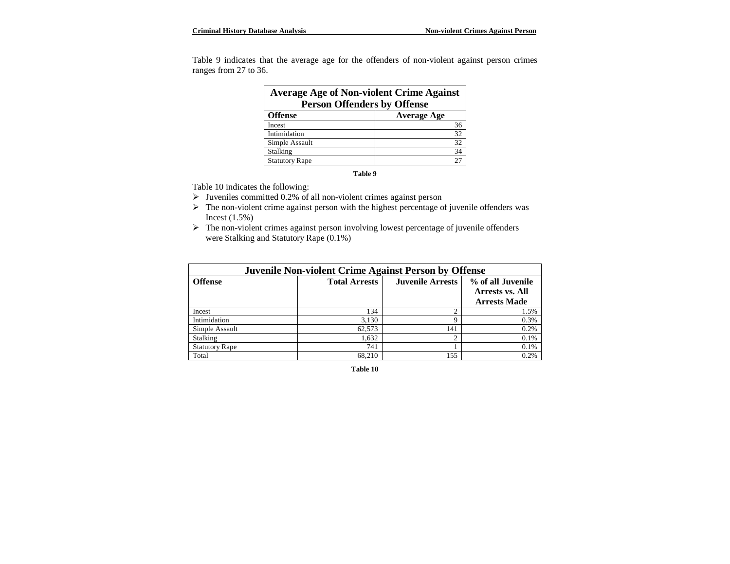Table 9 indicates that the average age for the offenders of non-violent against person crimes ranges from 27 to 36.

| <b>Average Age of Non-violent Crime Against</b> |                    |  |  |
|-------------------------------------------------|--------------------|--|--|
| <b>Person Offenders by Offense</b>              |                    |  |  |
| <b>Offense</b>                                  | <b>Average Age</b> |  |  |
| Incest                                          | 36                 |  |  |
| Intimidation                                    | 32                 |  |  |
| Simple Assault                                  | 32                 |  |  |
| Stalking                                        | 34                 |  |  |
| <b>Statutory Rape</b>                           | 27                 |  |  |

**Table 9**

Table 10 indicates the following:

- $\triangleright$  Juveniles committed 0.2% of all non-violent crimes against person
- > The non-violent crime against person with the highest percentage of juvenile offenders was Incest (1.5%)
- $\triangleright$  The non-violent crimes against person involving lowest percentage of juvenile offenders were Stalking and Statutory Rape (0.1%)

| <b>Juvenile Non-violent Crime Against Person by Offense</b> |                      |                         |                                                                    |  |
|-------------------------------------------------------------|----------------------|-------------------------|--------------------------------------------------------------------|--|
| <b>Offense</b>                                              | <b>Total Arrests</b> | <b>Juvenile Arrests</b> | % of all Juvenile<br><b>Arrests vs. All</b><br><b>Arrests Made</b> |  |
| Incest                                                      | 134                  | ◠                       | 1.5%                                                               |  |
| Intimidation                                                | 3,130                | q                       | 0.3%                                                               |  |
| Simple Assault                                              | 62.573               | 141                     | 0.2%                                                               |  |
| Stalking                                                    | 1,632                | ◠                       | 0.1%                                                               |  |
| <b>Statutory Rape</b>                                       | 741                  |                         | 0.1%                                                               |  |
| Total                                                       | 68.210               | 155                     | 0.2%                                                               |  |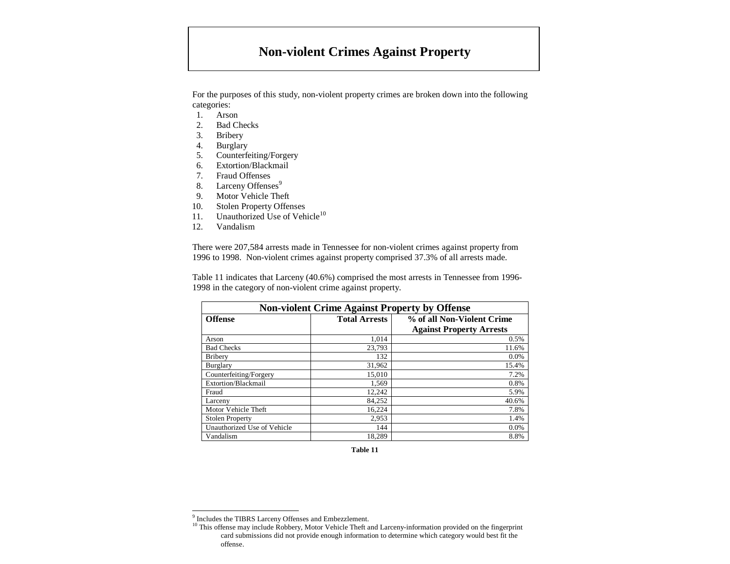# **Non-violent Crimes Against Property**

For the purposes of this study, non-violent property crimes are broken down into the following categories:

- 1. Arson
- 2. Bad Checks
- 3. Bribery
- 4. Burglary
- 5. Counterfeiting/Forgery
- 6. Extortion/Blackmail
- 7. Fraud Offenses
- 8. Larceny Offenses<sup>9</sup>
- 9. Motor Vehicle Theft
- 10. Stolen Property Offenses
- 11. Unauthorized Use of Vehicle<sup>10</sup>
- 12. Vandalism

 $\overline{a}$ 

There were 207,584 arrests made in Tennessee for non-violent crimes against property from 1996 to 1998. Non-violent crimes against property comprised 37.3% of all arrests made.

Table 11 indicates that Larceny (40.6%) comprised the most arrests in Tennessee from 1996- 1998 in the category of non-violent crime against property.

| <b>Non-violent Crime Against Property by Offense</b> |                            |                                 |  |
|------------------------------------------------------|----------------------------|---------------------------------|--|
| <b>Offense</b>                                       | % of all Non-Violent Crime |                                 |  |
|                                                      |                            | <b>Against Property Arrests</b> |  |
| Arson                                                | 1.014                      | 0.5%                            |  |
| <b>Bad Checks</b>                                    | 23.793                     | 11.6%                           |  |
| <b>Bribery</b>                                       | 132                        | 0.0%                            |  |
| Burglary                                             | 31,962                     | 15.4%                           |  |
| Counterfeiting/Forgery                               | 15.010                     | 7.2%                            |  |
| Extortion/Blackmail                                  | 1,569                      | 0.8%                            |  |
| Fraud                                                | 12,242                     | 5.9%                            |  |
| Larceny                                              | 84,252                     | 40.6%                           |  |
| Motor Vehicle Theft                                  | 16,224                     | 7.8%                            |  |
| <b>Stolen Property</b>                               | 2,953                      | 1.4%                            |  |
| Unauthorized Use of Vehicle                          | 144                        | 0.0%                            |  |
| Vandalism                                            | 18.289                     | 8.8%                            |  |

<sup>&</sup>lt;sup>9</sup> Includes the TIBRS Larceny Offenses and Embezzlement.

<sup>&</sup>lt;sup>10</sup> This offense may include Robbery, Motor Vehicle Theft and Larceny-information provided on the fingerprint card submissions did not provide enough information to determine which category would best fit the offense.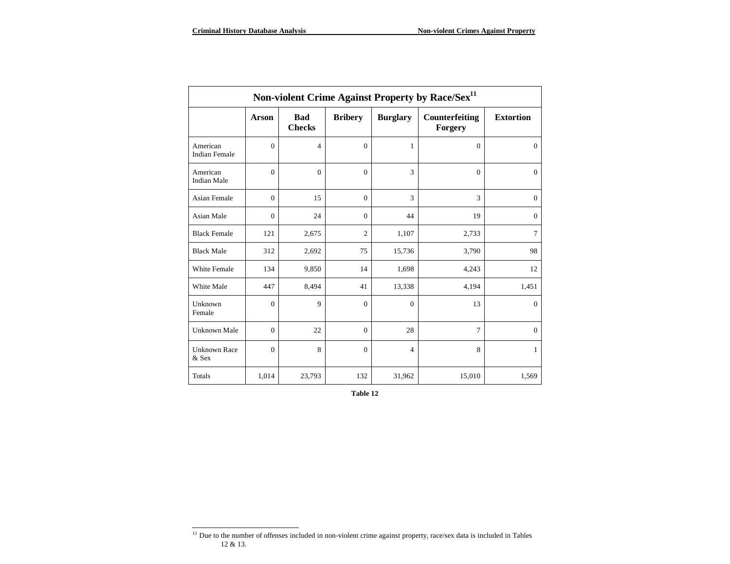| Non-violent Crime Against Property by Race/Sex <sup>11</sup> |              |                             |                |                 |                           |                  |
|--------------------------------------------------------------|--------------|-----------------------------|----------------|-----------------|---------------------------|------------------|
|                                                              | <b>Arson</b> | <b>Bad</b><br><b>Checks</b> | <b>Bribery</b> | <b>Burglary</b> | Counterfeiting<br>Forgery | <b>Extortion</b> |
| American<br><b>Indian Female</b>                             | $\mathbf{0}$ | $\overline{4}$              | $\theta$       | 1               | $\Omega$                  | $\mathbf{0}$     |
| American<br><b>Indian Male</b>                               | $\Omega$     | $\Omega$                    | $\Omega$       | 3               | $\Omega$                  | $\mathbf{0}$     |
| <b>Asian Female</b>                                          | $\mathbf{0}$ | 15                          | $\mathbf{0}$   | 3               | 3                         | $\mathbf{0}$     |
| Asian Male                                                   | $\mathbf{0}$ | 24                          | $\Omega$       | 44              | 19                        | $\mathbf{0}$     |
| <b>Black Female</b>                                          | 121          | 2,675                       | $\overline{c}$ | 1,107           | 2,733                     | $7\phantom{.0}$  |
| <b>Black Male</b>                                            | 312          | 2,692                       | 75             | 15,736          | 3,790                     | 98               |
| <b>White Female</b>                                          | 134          | 9,850                       | 14             | 1,698           | 4,243                     | 12               |
| White Male                                                   | 447          | 8,494                       | 41             | 13,338          | 4,194                     | 1,451            |
| Unknown<br>Female                                            | $\mathbf{0}$ | 9                           | $\Omega$       | $\theta$        | 13                        | $\mathbf{0}$     |
| <b>Unknown Male</b>                                          | $\mathbf{0}$ | 22                          | $\Omega$       | 28              | $\tau$                    | $\mathbf{0}$     |
| <b>Unknown Race</b><br>& Sex                                 | $\Omega$     | 8                           | $\theta$       | $\overline{4}$  | 8                         | 1                |
| Totals                                                       | 1,014        | 23,793                      | 132            | 31,962          | 15,010                    | 1,569            |

<sup>&</sup>lt;sup>11</sup> Due to the number of offenses included in non-violent crime against property, race/sex data is included in Tables 12 & 13.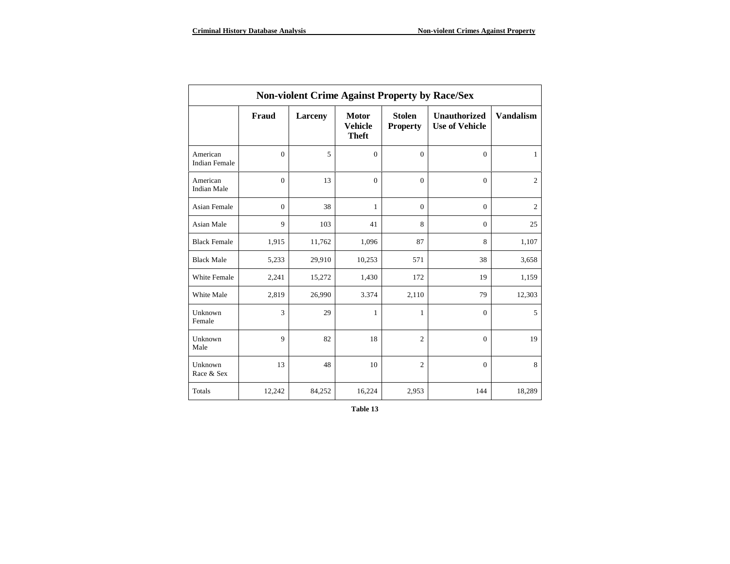| <b>Non-violent Crime Against Property by Race/Sex</b> |              |                |                                                |                                  |                                              |                  |
|-------------------------------------------------------|--------------|----------------|------------------------------------------------|----------------------------------|----------------------------------------------|------------------|
|                                                       | Fraud        | <b>Larceny</b> | <b>Motor</b><br><b>Vehicle</b><br><b>Theft</b> | <b>Stolen</b><br><b>Property</b> | <b>Unauthorized</b><br><b>Use of Vehicle</b> | <b>Vandalism</b> |
| American<br><b>Indian Female</b>                      | $\mathbf{0}$ | 5              | $\mathbf{0}$                                   | $\mathbf{0}$                     | $\mathbf{0}$                                 | 1                |
| American<br><b>Indian Male</b>                        | $\mathbf{0}$ | 13             | $\mathbf{0}$                                   | $\mathbf{0}$                     | $\mathbf{0}$                                 | $\overline{2}$   |
| <b>Asian Female</b>                                   | $\mathbf{0}$ | 38             | 1                                              | $\mathbf{0}$                     | $\mathbf{0}$                                 | $\overline{2}$   |
| Asian Male                                            | 9            | 103            | 41                                             | 8                                | $\overline{0}$                               | 25               |
| <b>Black Female</b>                                   | 1,915        | 11,762         | 1,096                                          | 87                               | 8                                            | 1,107            |
| <b>Black Male</b>                                     | 5,233        | 29,910         | 10,253                                         | 571                              | 38                                           | 3,658            |
| White Female                                          | 2,241        | 15,272         | 1,430                                          | 172                              | 19                                           | 1,159            |
| White Male                                            | 2,819        | 26,990         | 3.374                                          | 2,110                            | 79                                           | 12,303           |
| Unknown<br>Female                                     | 3            | 29             | 1                                              | 1                                | $\mathbf{0}$                                 | 5                |
| Unknown<br>Male                                       | 9            | 82             | 18                                             | 2                                | $\mathbf{0}$                                 | 19               |
| Unknown<br>Race & Sex                                 | 13           | 48             | 10                                             | $\overline{2}$                   | $\mathbf{0}$                                 | 8                |
| Totals                                                | 12,242       | 84,252         | 16,224                                         | 2,953                            | 144                                          | 18,289           |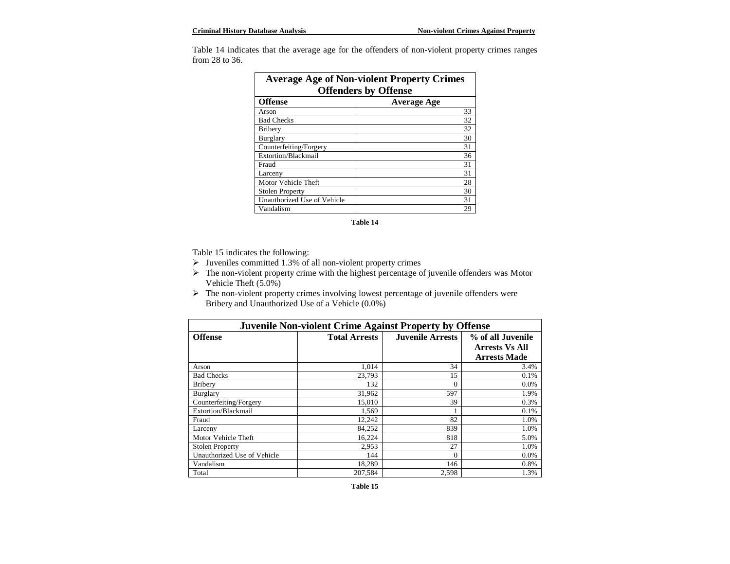| <b>Average Age of Non-violent Property Crimes</b><br><b>Offenders by Offense</b> |                    |  |
|----------------------------------------------------------------------------------|--------------------|--|
| <b>Offense</b>                                                                   | <b>Average Age</b> |  |
| Arson                                                                            | 33                 |  |
| <b>Bad Checks</b>                                                                | 32                 |  |
| <b>Bribery</b>                                                                   | 32                 |  |
| Burglary                                                                         | 30                 |  |
| Counterfeiting/Forgery                                                           | 31                 |  |
| Extortion/Blackmail                                                              | 36                 |  |
| Frand                                                                            | 31                 |  |
| Larceny                                                                          | 31                 |  |
| Motor Vehicle Theft                                                              | 28                 |  |
| <b>Stolen Property</b>                                                           | 30                 |  |
| Unauthorized Use of Vehicle                                                      | 31                 |  |
| Vandalism                                                                        | 29                 |  |

Table 14 indicates that the average age for the offenders of non-violent property crimes ranges from 28 to 36.

**Table 14**

Table 15 indicates the following:

- $\triangleright$  Juveniles committed 1.3% of all non-violent property crimes
- > The non-violent property crime with the highest percentage of juvenile offenders was Motor Vehicle Theft (5.0%)
- $\triangleright$  The non-violent property crimes involving lowest percentage of juvenile offenders were Bribery and Unauthorized Use of a Vehicle (0.0%)

| <b>Juvenile Non-violent Crime Against Property by Offense</b>     |         |          |                       |  |
|-------------------------------------------------------------------|---------|----------|-----------------------|--|
| <b>Juvenile Arrests</b><br><b>Offense</b><br><b>Total Arrests</b> |         |          | % of all Juvenile     |  |
|                                                                   |         |          | <b>Arrests Vs All</b> |  |
|                                                                   |         |          | <b>Arrests Made</b>   |  |
| Arson                                                             | 1,014   | 34       | 3.4%                  |  |
| <b>Bad Checks</b>                                                 | 23,793  | 15       | 0.1%                  |  |
| <b>Bribery</b>                                                    | 132     | $\theta$ | 0.0%                  |  |
| Burglary                                                          | 31,962  | 597      | 1.9%                  |  |
| Counterfeiting/Forgery                                            | 15,010  | 39       | 0.3%                  |  |
| Extortion/Blackmail                                               | 1,569   |          | 0.1%                  |  |
| Fraud                                                             | 12,242  | 82       | 1.0%                  |  |
| Larceny                                                           | 84,252  | 839      | 1.0%                  |  |
| Motor Vehicle Theft                                               | 16,224  | 818      | 5.0%                  |  |
| <b>Stolen Property</b>                                            | 2,953   | 27       | 1.0%                  |  |
| Unauthorized Use of Vehicle                                       | 144     | $\Omega$ | $0.0\%$               |  |
| Vandalism                                                         | 18,289  | 146      | 0.8%                  |  |
| Total                                                             | 207,584 | 2,598    | 1.3%                  |  |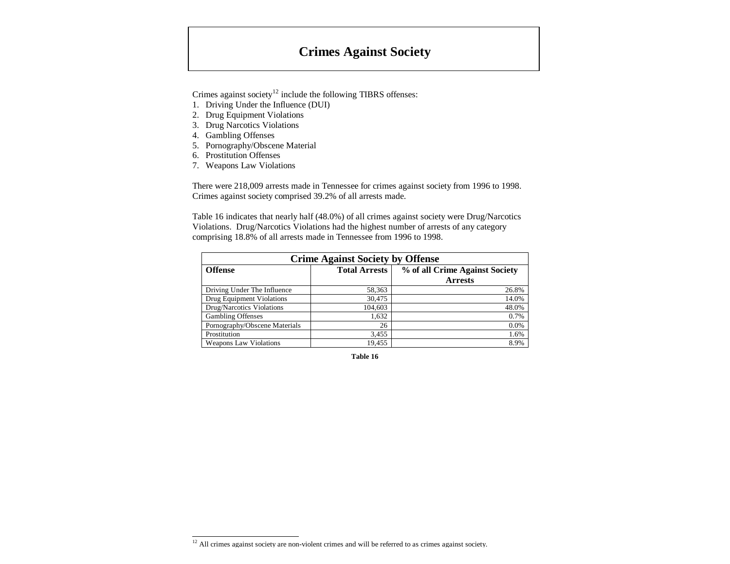# **Crimes Against Society**

Crimes against society<sup>12</sup> include the following TIBRS offenses:

- 1. Driving Under the Influence (DUI)
- 2. Drug Equipment Violations
- 3. Drug Narcotics Violations
- 4. Gambling Offenses
- 5. Pornography/Obscene Material
- 6. Prostitution Offenses
- 7. Weapons Law Violations

There were 218,009 arrests made in Tennessee for crimes against society from 1996 to 1998. Crimes against society comprised 39.2% of all arrests made.

Table 16 indicates that nearly half (48.0%) of all crimes against society were Drug/Narcotics Violations. Drug/Narcotics Violations had the highest number of arrests of any category comprising 18.8% of all arrests made in Tennessee from 1996 to 1998.

| <b>Crime Against Society by Offense</b>                                  |         |                |  |
|--------------------------------------------------------------------------|---------|----------------|--|
| <b>Total Arrests</b><br>% of all Crime Against Society<br><b>Offense</b> |         |                |  |
|                                                                          |         | <b>Arrests</b> |  |
| Driving Under The Influence                                              | 58,363  | 26.8%          |  |
| Drug Equipment Violations                                                | 30.475  | 14.0%          |  |
| Drug/Narcotics Violations                                                | 104,603 | 48.0%          |  |
| <b>Gambling Offenses</b>                                                 | 1,632   | 0.7%           |  |
| Pornography/Obscene Materials                                            | 26      | 0.0%           |  |
| Prostitution                                                             | 3,455   | 1.6%           |  |
| <b>Weapons Law Violations</b>                                            | 19.455  | 8.9%           |  |

 $12$  All crimes against society are non-violent crimes and will be referred to as crimes against society.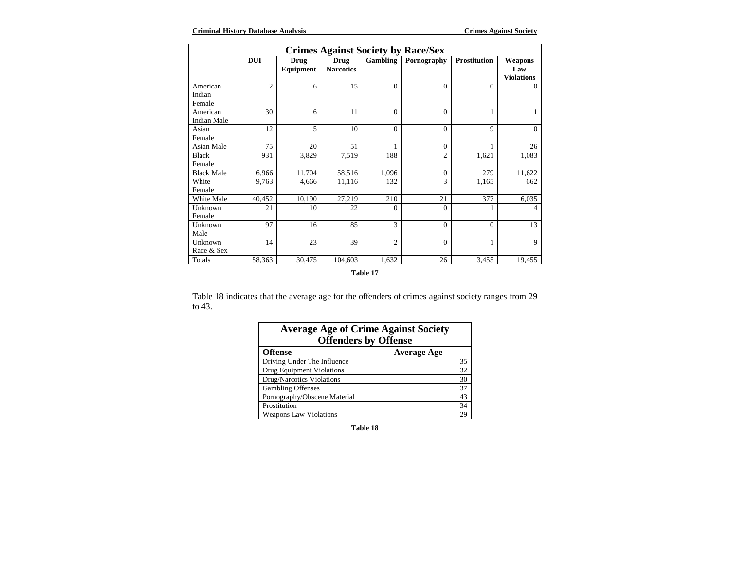| <b>Crimes Against Society by Race/Sex</b> |                |                   |                                 |                |                |                     |                                     |
|-------------------------------------------|----------------|-------------------|---------------------------------|----------------|----------------|---------------------|-------------------------------------|
|                                           | <b>DUI</b>     | Drug<br>Equipment | <b>Drug</b><br><b>Narcotics</b> | Gambling       | Pornography    | <b>Prostitution</b> | Weapons<br>Law<br><b>Violations</b> |
| American<br>Indian<br>Female              | $\overline{c}$ | 6                 | 15                              | $\Omega$       | $\Omega$       | $\Omega$            | $\Omega$                            |
| American<br>Indian Male                   | 30             | 6                 | 11                              | $\Omega$       | $\Omega$       | $\mathbf{1}$        | $\mathbf{1}$                        |
| Asian<br>Female                           | 12             | 5                 | 10                              | $\Omega$       | $\Omega$       | 9                   | $\Omega$                            |
| Asian Male                                | 75             | 20                | 51                              | 1              | $\Omega$       | 1                   | 26                                  |
| Black<br>Female                           | 931            | 3,829             | 7,519                           | 188            | $\overline{2}$ | 1,621               | 1,083                               |
| <b>Black Male</b>                         | 6,966          | 11,704            | 58,516                          | 1,096          | $\overline{0}$ | 279                 | 11,622                              |
| White<br>Female                           | 9,763          | 4,666             | 11,116                          | 132            | 3              | 1,165               | 662                                 |
| White Male                                | 40,452         | 10,190            | 27,219                          | 210            | 21             | 377                 | 6,035                               |
| Unknown<br>Female                         | 21             | 10                | 22                              | $\Omega$       | $\theta$       | 1                   | 4                                   |
| Unknown<br>Male                           | 97             | 16                | 85                              | 3              | $\Omega$       | $\Omega$            | 13                                  |
| Unknown<br>Race & Sex                     | 14             | 23                | 39                              | $\overline{2}$ | $\Omega$       | $\mathbf{1}$        | 9                                   |
| Totals                                    | 58,363         | 30,475            | 104,603                         | 1,632          | 26             | 3,455               | 19,455                              |

#### **Table 17**

Table 18 indicates that the average age for the offenders of crimes against society ranges from 29 to 43.

| <b>Average Age of Crime Against Society</b><br><b>Offenders by Offense</b> |                    |  |
|----------------------------------------------------------------------------|--------------------|--|
| <b>Offense</b>                                                             | <b>Average Age</b> |  |
| Driving Under The Influence                                                | 35                 |  |
| Drug Equipment Violations                                                  | 32                 |  |
| Drug/Narcotics Violations                                                  | 30                 |  |
| <b>Gambling Offenses</b>                                                   | 37                 |  |
| Pornography/Obscene Material                                               | 43                 |  |
| Prostitution                                                               | 34                 |  |
| <b>Weapons Law Violations</b>                                              | 29                 |  |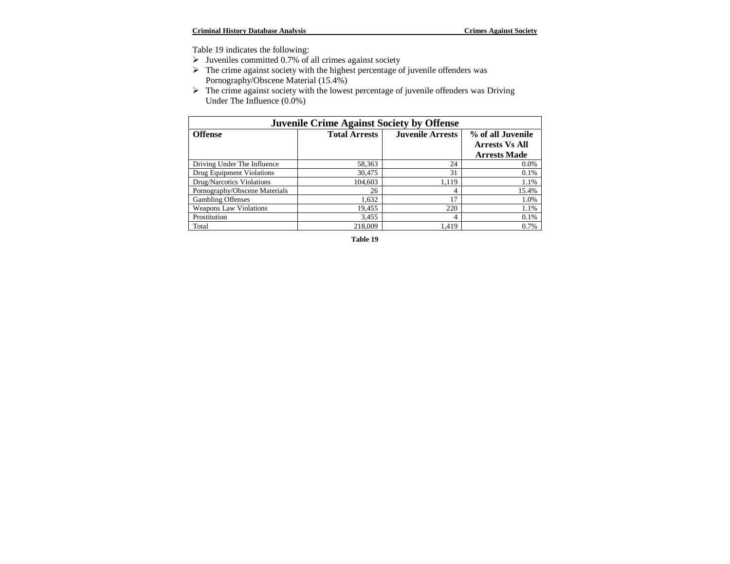Table 19 indicates the following:

- $\triangleright$  Juveniles committed 0.7% of all crimes against society
- $\triangleright$  The crime against society with the highest percentage of juvenile offenders was Pornography/Obscene Material (15.4%)
- $\triangleright$  The crime against society with the lowest percentage of juvenile offenders was Driving Under The Influence (0.0%)

| <b>Juvenile Crime Against Society by Offense</b>                                       |         |       |                       |
|----------------------------------------------------------------------------------------|---------|-------|-----------------------|
| <b>Offense</b><br><b>Total Arrests</b><br><b>Juvenile Arrests</b><br>% of all Juvenile |         |       |                       |
|                                                                                        |         |       | <b>Arrests Vs All</b> |
|                                                                                        |         |       | <b>Arrests Made</b>   |
| Driving Under The Influence                                                            | 58,363  | 24    | $0.0\%$               |
| Drug Equipment Violations                                                              | 30,475  | 31    | 0.1%                  |
| Drug/Narcotics Violations                                                              | 104,603 | 1.119 | 1.1%                  |
| Pornography/Obscene Materials                                                          | 26      | 4     | 15.4%                 |
| <b>Gambling Offenses</b>                                                               | 1,632   | 17    | 1.0%                  |
| <b>Weapons Law Violations</b>                                                          | 19,455  | 220   | 1.1%                  |
| Prostitution                                                                           | 3,455   | 4     | 0.1%                  |
| Total                                                                                  | 218,009 | 1.419 | 0.7%                  |

**Table 19**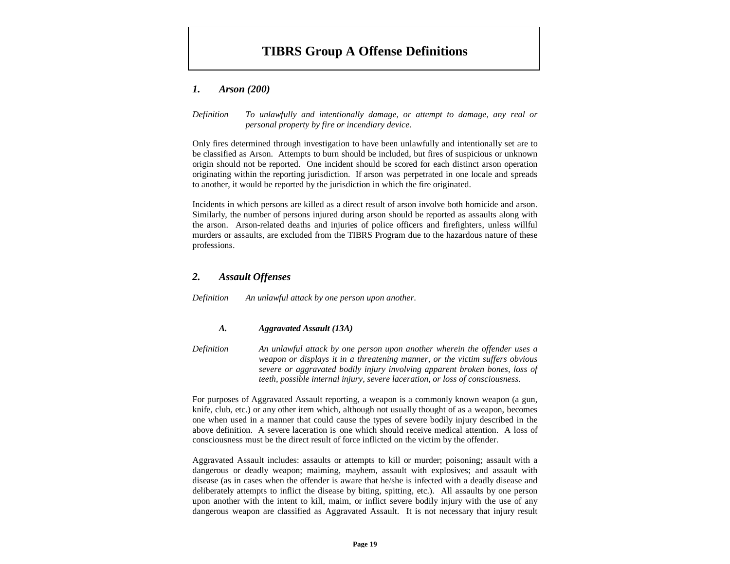# **TIBRS Group A Offense Definitions**

## *1. Arson (200)*

#### *Definition To unlawfully and intentionally damage, or attempt to damage, any real or personal property by fire or incendiary device.*

Only fires determined through investigation to have been unlawfully and intentionally set are to be classified as Arson. Attempts to burn should be included, but fires of suspicious or unknown origin should not be reported. One incident should be scored for each distinct arson operation originating within the reporting jurisdiction. If arson was perpetrated in one locale and spreads to another, it would be reported by the jurisdiction in which the fire originated.

Incidents in which persons are killed as a direct result of arson involve both homicide and arson. Similarly, the number of persons injured during arson should be reported as assaults along with the arson. Arson-related deaths and injuries of police officers and firefighters, unless willful murders or assaults, are excluded from the TIBRS Program due to the hazardous nature of these professions.

# *2. Assault Offenses*

*Definition An unlawful attack by one person upon another.*

#### *A. Aggravated Assault (13A)*

*Definition An unlawful attack by one person upon another wherein the offender uses a weapon or displays it in a threatening manner, or the victim suffers obvious severe or aggravated bodily injury involving apparent broken bones, loss of teeth, possible internal injury, severe laceration, or loss of consciousness.*

For purposes of Aggravated Assault reporting, a weapon is a commonly known weapon (a gun, knife, club, etc.) or any other item which, although not usually thought of as a weapon, becomes one when used in a manner that could cause the types of severe bodily injury described in the above definition. A severe laceration is one which should receive medical attention. A loss of consciousness must be the direct result of force inflicted on the victim by the offender.

Aggravated Assault includes: assaults or attempts to kill or murder; poisoning; assault with a dangerous or deadly weapon; maiming, mayhem, assault with explosives; and assault with disease (as in cases when the offender is aware that he/she is infected with a deadly disease and deliberately attempts to inflict the disease by biting, spitting, etc.). All assaults by one person upon another with the intent to kill, maim, or inflict severe bodily injury with the use of any dangerous weapon are classified as Aggravated Assault. It is not necessary that injury result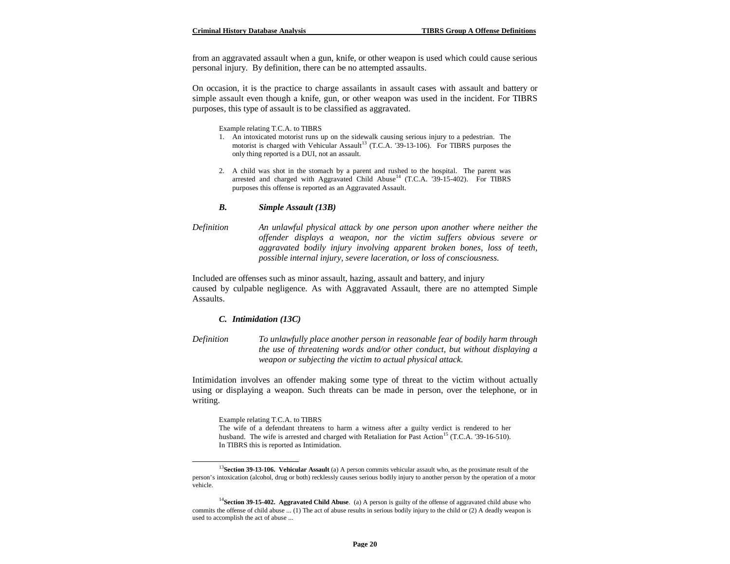from an aggravated assault when a gun, knife, or other weapon is used which could cause serious personal injury. By definition, there can be no attempted assaults.

On occasion, it is the practice to charge assailants in assault cases with assault and battery or simple assault even though a knife, gun, or other weapon was used in the incident. For TIBRS purposes, this type of assault is to be classified as aggravated.

Example relating T.C.A. to TIBRS

- 1. An intoxicated motorist runs up on the sidewalk causing serious injury to a pedestrian. The motorist is charged with Vehicular Assault<sup>13</sup> (T.C.A. '39-13-106). For TIBRS purposes the only thing reported is a DUI, not an assault.
- 2. A child was shot in the stomach by a parent and rushed to the hospital. The parent was arrested and charged with Aggravated Child Abuse<sup>14</sup> (T.C.A. '39-15-402). For TIBRS purposes this offense is reported as an Aggravated Assault.

#### *B. Simple Assault (13B)*

*Definition An unlawful physical attack by one person upon another where neither the offender displays a weapon, nor the victim suffers obvious severe or aggravated bodily injury involving apparent broken bones, loss of teeth, possible internal injury, severe laceration, or loss of consciousness.*

Included are offenses such as minor assault, hazing, assault and battery, and injury caused by culpable negligence. As with Aggravated Assault, there are no attempted Simple Assaults.

#### *C. Intimidation (13C)*

*Definition To unlawfully place another person in reasonable fear of bodily harm through the use of threatening words and/or other conduct, but without displaying a weapon or subjecting the victim to actual physical attack.*

Intimidation involves an offender making some type of threat to the victim without actually using or displaying a weapon. Such threats can be made in person, over the telephone, or in writing.

Example relating T.C.A. to TIBRS

 $\overline{a}$ 

The wife of a defendant threatens to harm a witness after a guilty verdict is rendered to her husband. The wife is arrested and charged with Retaliation for Past Action<sup>15</sup> (T.C.A. '39-16-510). In TIBRS this is reported as Intimidation.

<sup>&</sup>lt;sup>13</sup>Section 39-13-106. Vehicular Assault (a) A person commits vehicular assault who, as the proximate result of the person's intoxication (alcohol, drug or both) recklessly causes serious bodily injury to another person by the operation of a motor vehicle.

<sup>&</sup>lt;sup>14</sup>Section 39-15-402. Aggravated Child Abuse. (a) A person is guilty of the offense of aggravated child abuse who commits the offense of child abuse ... (1) The act of abuse results in serious bodily injury to the child or (2) A deadly weapon is used to accomplish the act of abuse ...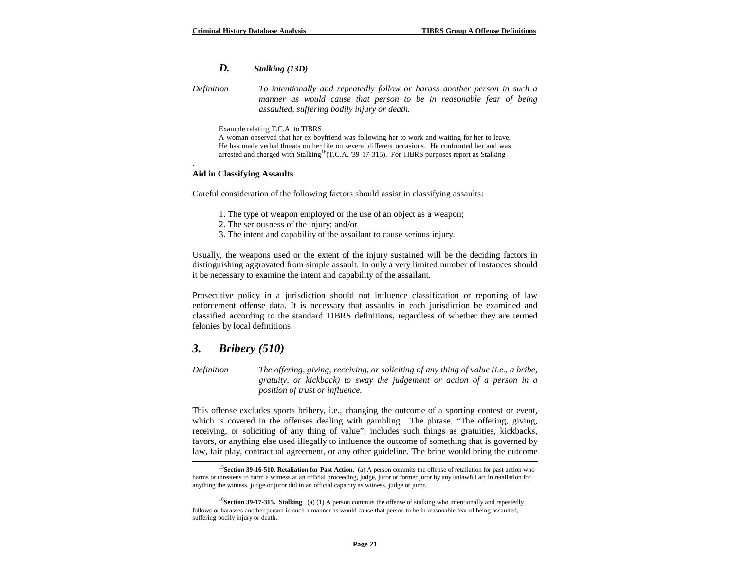# *D. Stalking (13D)*

*Definition To intentionally and repeatedly follow or harass another person in such a manner as would cause that person to be in reasonable fear of being assaulted, suffering bodily injury or death.*

Example relating T.C.A. to TIBRS

A woman observed that her ex-boyfriend was following her to work and waiting for her to leave. He has made verbal threats on her life on several different occasions. He confronted her and was arrested and charged with Stalking<sup>16</sup>(T.C.A. '39-17-315). For TIBRS purposes report as Stalking

#### **Aid in Classifying Assaults**

.

-

Careful consideration of the following factors should assist in classifying assaults:

- 1. The type of weapon employed or the use of an object as a weapon;
- 2. The seriousness of the injury; and/or
- 3. The intent and capability of the assailant to cause serious injury.

Usually, the weapons used or the extent of the injury sustained will be the deciding factors in distinguishing aggravated from simple assault. In only a very limited number of instances should it be necessary to examine the intent and capability of the assailant.

Prosecutive policy in a jurisdiction should not influence classification or reporting of law enforcement offense data. It is necessary that assaults in each jurisdiction be examined and classified according to the standard TIBRS definitions, regardless of whether they are termed felonies by local definitions.

# *3. Bribery (510)*

*Definition The offering, giving, receiving, or soliciting of any thing of value (i.e., a bribe, gratuity, or kickback) to sway the judgement or action of a person in a position of trust or influence.*

This offense excludes sports bribery, i.e., changing the outcome of a sporting contest or event, which is covered in the offenses dealing with gambling. The phrase, "The offering, giving, receiving, or soliciting of any thing of value", includes such things as gratuities, kickbacks, favors, or anything else used illegally to influence the outcome of something that is governed by law, fair play, contractual agreement, or any other guideline. The bribe would bring the outcome

<sup>&</sup>lt;sup>15</sup>Section 39-16-510. Retaliation for Past Action. (a) A person commits the offense of retaliation for past action who harms or threatens to harm a witness at an official proceeding, judge, juror or former juror by any unlawful act in retaliation for anything the witness, judge or juror did in an official capacity as witness, judge or juror.

<sup>&</sup>lt;sup>16</sup>Section 39-17-315. Stalking. (a) (1) A person commits the offense of stalking who intentionally and repeatedly follows or harasses another person in such a manner as would cause that person to be in reasonable fear of being assaulted, suffering bodily injury or death.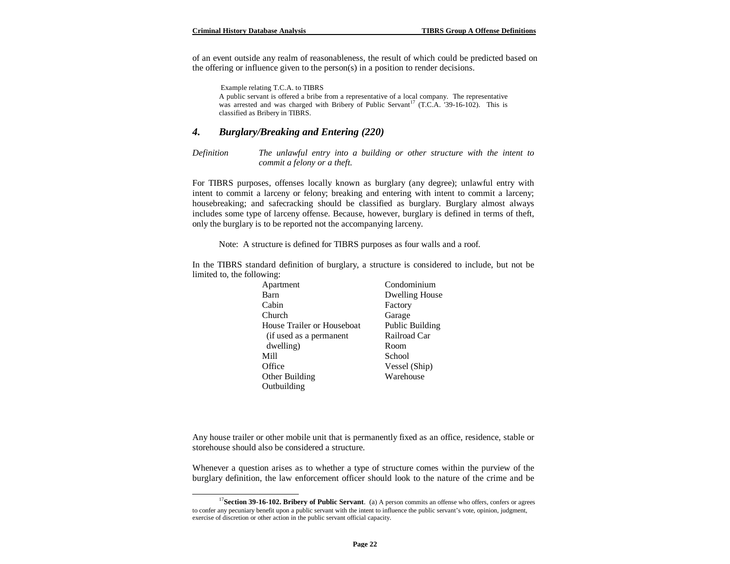$\overline{a}$ 

of an event outside any realm of reasonableness, the result of which could be predicted based on the offering or influence given to the person(s) in a position to render decisions.

 Example relating T.C.A. to TIBRS A public servant is offered a bribe from a representative of a local company. The representative was arrested and was charged with Bribery of Public Servant<sup>17</sup> (T.C.A. '39-16-102). This is classified as Bribery in TIBRS.

#### *4. Burglary/Breaking and Entering (220)*

*Definition The unlawful entry into a building or other structure with the intent to commit a felony or a theft.*

For TIBRS purposes, offenses locally known as burglary (any degree); unlawful entry with intent to commit a larceny or felony; breaking and entering with intent to commit a larceny; housebreaking; and safecracking should be classified as burglary. Burglary almost always includes some type of larceny offense. Because, however, burglary is defined in terms of theft, only the burglary is to be reported not the accompanying larceny.

Note: A structure is defined for TIBRS purposes as four walls and a roof.

In the TIBRS standard definition of burglary, a structure is considered to include, but not be limited to, the following:

| Apartment                  | Condominium            |
|----------------------------|------------------------|
| Barn                       | Dwelling House         |
| Cabin                      | Factory                |
| Church                     | Garage                 |
| House Trailer or Houseboat | <b>Public Building</b> |
| (if used as a permanent    | Railroad Car           |
| dwelling)                  | Room                   |
| Mill                       | School                 |
| Office                     | Vessel (Ship)          |
| Other Building             | Warehouse              |
| Outbuilding                |                        |

Any house trailer or other mobile unit that is permanently fixed as an office, residence, stable or storehouse should also be considered a structure.

Whenever a question arises as to whether a type of structure comes within the purview of the burglary definition, the law enforcement officer should look to the nature of the crime and be

<sup>&</sup>lt;sup>17</sup>Section 39-16-102. Bribery of Public Servant. (a) A person commits an offense who offers, confers or agrees to confer any pecuniary benefit upon a public servant with the intent to influence the public servant's vote, opinion, judgment, exercise of discretion or other action in the public servant official capacity.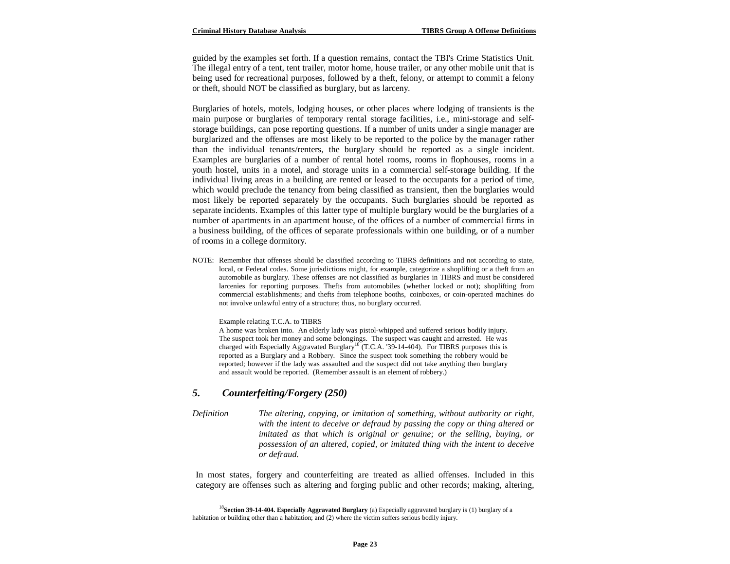guided by the examples set forth. If a question remains, contact the TBI's Crime Statistics Unit. The illegal entry of a tent, tent trailer, motor home, house trailer, or any other mobile unit that is being used for recreational purposes, followed by a theft, felony, or attempt to commit a felony or theft, should NOT be classified as burglary, but as larceny.

Burglaries of hotels, motels, lodging houses, or other places where lodging of transients is the main purpose or burglaries of temporary rental storage facilities, i.e., mini-storage and selfstorage buildings, can pose reporting questions. If a number of units under a single manager are burglarized and the offenses are most likely to be reported to the police by the manager rather than the individual tenants/renters, the burglary should be reported as a single incident. Examples are burglaries of a number of rental hotel rooms, rooms in flophouses, rooms in a youth hostel, units in a motel, and storage units in a commercial self-storage building. If the individual living areas in a building are rented or leased to the occupants for a period of time, which would preclude the tenancy from being classified as transient, then the burglaries would most likely be reported separately by the occupants. Such burglaries should be reported as separate incidents. Examples of this latter type of multiple burglary would be the burglaries of a number of apartments in an apartment house, of the offices of a number of commercial firms in a business building, of the offices of separate professionals within one building, or of a number of rooms in a college dormitory.

NOTE: Remember that offenses should be classified according to TIBRS definitions and not according to state, local, or Federal codes. Some jurisdictions might, for example, categorize a shoplifting or a theft from an automobile as burglary. These offenses are not classified as burglaries in TIBRS and must be considered larcenies for reporting purposes. Thefts from automobiles (whether locked or not); shoplifting from commercial establishments; and thefts from telephone booths, coinboxes, or coin-operated machines do not involve unlawful entry of a structure; thus, no burglary occurred.

Example relating T.C.A. to TIBRS

A home was broken into. An elderly lady was pistol-whipped and suffered serious bodily injury. The suspect took her money and some belongings. The suspect was caught and arrested. He was charged with Especially Aggravated Burglary<sup>18</sup> (T.C.A. '39-14-404). For TIBRS purposes this is reported as a Burglary and a Robbery. Since the suspect took something the robbery would be reported; however if the lady was assaulted and the suspect did not take anything then burglary and assault would be reported. (Remember assault is an element of robbery.)

## *5. Counterfeiting/Forgery (250)*

 $\overline{a}$ 

*Definition The altering, copying, or imitation of something, without authority or right, with the intent to deceive or defraud by passing the copy or thing altered or imitated as that which is original or genuine; or the selling, buying, or possession of an altered, copied, or imitated thing with the intent to deceive or defraud.*

In most states, forgery and counterfeiting are treated as allied offenses. Included in this category are offenses such as altering and forging public and other records; making, altering,

<sup>18</sup>**Section 39-14-404. Especially Aggravated Burglary** (a) Especially aggravated burglary is (1) burglary of a habitation or building other than a habitation; and (2) where the victim suffers serious bodily injury.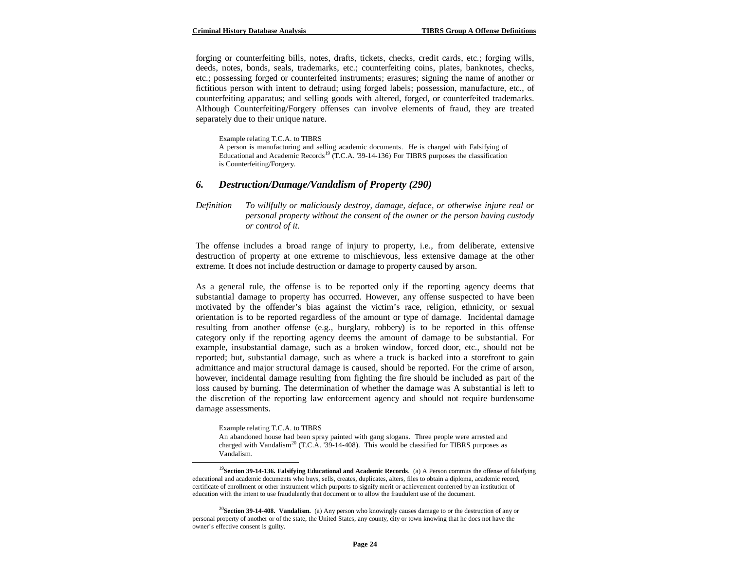forging or counterfeiting bills, notes, drafts, tickets, checks, credit cards, etc.; forging wills, deeds, notes, bonds, seals, trademarks, etc.; counterfeiting coins, plates, banknotes, checks, etc.; possessing forged or counterfeited instruments; erasures; signing the name of another or fictitious person with intent to defraud; using forged labels; possession, manufacture, etc., of counterfeiting apparatus; and selling goods with altered, forged, or counterfeited trademarks. Although Counterfeiting/Forgery offenses can involve elements of fraud, they are treated separately due to their unique nature.

Example relating T.C.A. to TIBRS

A person is manufacturing and selling academic documents. He is charged with Falsifying of Educational and Academic Records<sup>19</sup> (T.C.A. '39-14-136) For TIBRS purposes the classification is Counterfeiting/Forgery.

#### *6. Destruction/Damage/Vandalism of Property (290)*

*Definition To willfully or maliciously destroy, damage, deface, or otherwise injure real or personal property without the consent of the owner or the person having custody or control of it.*

The offense includes a broad range of injury to property, i.e., from deliberate, extensive destruction of property at one extreme to mischievous, less extensive damage at the other extreme. It does not include destruction or damage to property caused by arson.

As a general rule, the offense is to be reported only if the reporting agency deems that substantial damage to property has occurred. However, any offense suspected to have been motivated by the offender's bias against the victim's race, religion, ethnicity, or sexual orientation is to be reported regardless of the amount or type of damage. Incidental damage resulting from another offense (e.g., burglary, robbery) is to be reported in this offense category only if the reporting agency deems the amount of damage to be substantial. For example, insubstantial damage, such as a broken window, forced door, etc., should not be reported; but, substantial damage, such as where a truck is backed into a storefront to gain admittance and major structural damage is caused, should be reported. For the crime of arson, however, incidental damage resulting from fighting the fire should be included as part of the loss caused by burning. The determination of whether the damage was A substantial is left to the discretion of the reporting law enforcement agency and should not require burdensome damage assessments.

Example relating T.C.A. to TIBRS

 $\overline{a}$ 

An abandoned house had been spray painted with gang slogans. Three people were arrested and charged with Vandalism<sup>20</sup> (T.C.A. '39-14-408). This would be classified for TIBRS purposes as Vandalism.

<sup>&</sup>lt;sup>19</sup>Section 39-14-136. Falsifying Educational and Academic Records. (a) A Person commits the offense of falsifying educational and academic documents who buys, sells, creates, duplicates, alters, files to obtain a diploma, academic record, certificate of enrollment or other instrument which purports to signify merit or achievement conferred by an institution of education with the intent to use fraudulently that document or to allow the fraudulent use of the document.

<sup>&</sup>lt;sup>20</sup>**Section 39-14-408. Vandalism.** (a) Any person who knowingly causes damage to or the destruction of any or personal property of another or of the state, the United States, any county, city or town knowing that he does not have the owner's effective consent is guilty.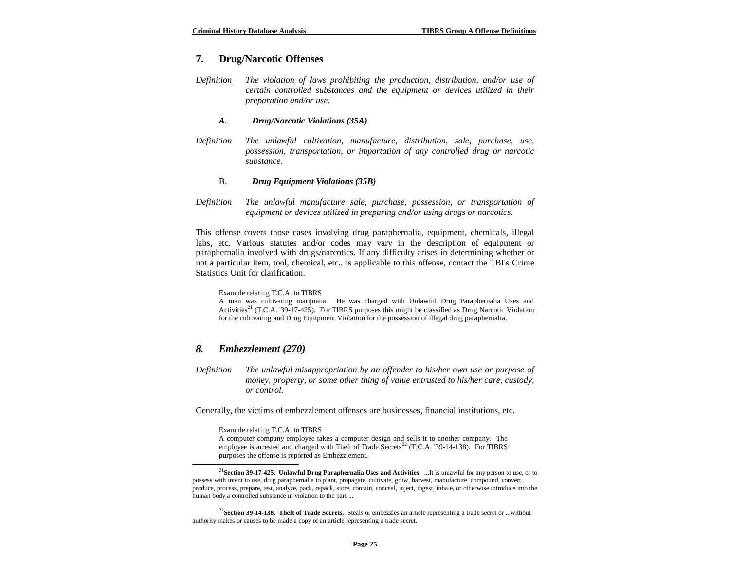# **7. Drug/Narcotic Offenses**

*Definition The violation of laws prohibiting the production, distribution, and/or use of certain controlled substances and the equipment or devices utilized in their preparation and/or use.*

#### *A. Drug/Narcotic Violations (35A)*

*Definition The unlawful cultivation, manufacture, distribution, sale, purchase, use, possession, transportation, or importation of any controlled drug or narcotic substance.*

#### B. *Drug Equipment Violations (35B)*

*Definition The unlawful manufacture sale, purchase, possession, or transportation of equipment or devices utilized in preparing and/or using drugs or narcotics.*

This offense covers those cases involving drug paraphernalia, equipment, chemicals, illegal labs, etc. Various statutes and/or codes may vary in the description of equipment or paraphernalia involved with drugs/narcotics. If any difficulty arises in determining whether or not a particular item, tool, chemical, etc., is applicable to this offense, contact the TBI's Crime Statistics Unit for clarification.

Example relating T.C.A. to TIBRS

A man was cultivating marijuana. He was charged with Unlawful Drug Paraphernalia Uses and Activities<sup>21</sup> (T.C.A. '39-17-425). For TIBRS purposes this might be classified as Drug Narcotic Violation for the cultivating and Drug Equipment Violation for the possession of illegal drug paraphernalia.

#### *8. Embezzlement (270)*

 $\overline{a}$ 

*Definition The unlawful misappropriation by an offender to his/her own use or purpose of money, property, or some other thing of value entrusted to his/her care, custody, or control.*

Generally, the victims of embezzlement offenses are businesses, financial institutions, etc.

Example relating T.C.A. to TIBRS

A computer company employee takes a computer design and sells it to another company. The employee is arrested and charged with Theft of Trade Secrets<sup>22</sup> (T.C.A. '39-14-138). For TIBRS purposes the offense is reported as Embezzlement.

<sup>21</sup>**Section 39-17-425. Unlawful Drug Paraphernalia Uses and Activities.** ...It is unlawful for any person to use, or to possess with intent to use, drug paraphernalia to plant, propagate, cultivate, grow, harvest, manufacture, compound, convert, produce, process, prepare, test, analyze, pack, repack, store, contain, conceal, inject, ingest, inhale, or otherwise introduce into the human body a controlled substance in violation to the part ...

<sup>&</sup>lt;sup>22</sup>Section 39-14-138. Theft of Trade Secrets. Steals or embezzles an article representing a trade secret or ...without authority makes or causes to be made a copy of an article representing a trade secret.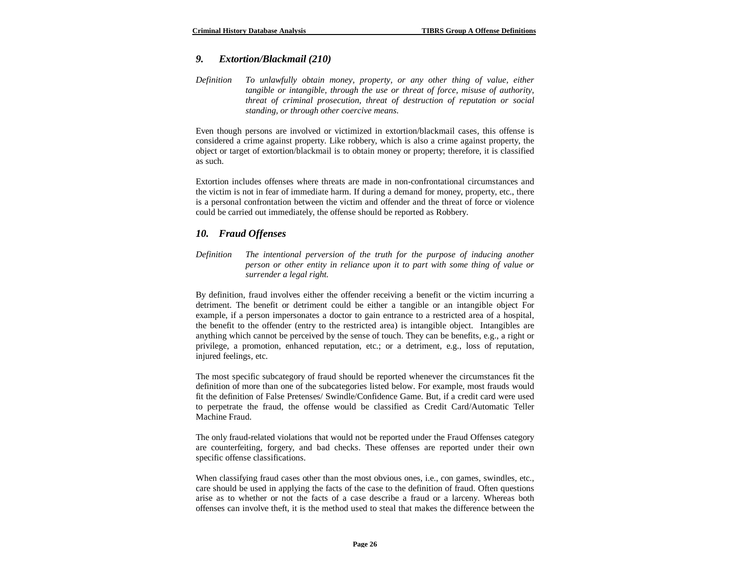## *9. Extortion/Blackmail (210)*

*Definition To unlawfully obtain money, property, or any other thing of value, either tangible or intangible, through the use or threat of force, misuse of authority, threat of criminal prosecution, threat of destruction of reputation or social standing, or through other coercive means.*

Even though persons are involved or victimized in extortion/blackmail cases, this offense is considered a crime against property. Like robbery, which is also a crime against property, the object or target of extortion/blackmail is to obtain money or property; therefore, it is classified as such.

Extortion includes offenses where threats are made in non-confrontational circumstances and the victim is not in fear of immediate harm. If during a demand for money, property, etc., there is a personal confrontation between the victim and offender and the threat of force or violence could be carried out immediately, the offense should be reported as Robbery.

### *10. Fraud Offenses*

*Definition The intentional perversion of the truth for the purpose of inducing another person or other entity in reliance upon it to part with some thing of value or surrender a legal right.*

By definition, fraud involves either the offender receiving a benefit or the victim incurring a detriment. The benefit or detriment could be either a tangible or an intangible object For example, if a person impersonates a doctor to gain entrance to a restricted area of a hospital, the benefit to the offender (entry to the restricted area) is intangible object. Intangibles are anything which cannot be perceived by the sense of touch. They can be benefits, e.g., a right or privilege, a promotion, enhanced reputation, etc.; or a detriment, e.g., loss of reputation, injured feelings, etc.

The most specific subcategory of fraud should be reported whenever the circumstances fit the definition of more than one of the subcategories listed below. For example, most frauds would fit the definition of False Pretenses/ Swindle/Confidence Game. But, if a credit card were used to perpetrate the fraud, the offense would be classified as Credit Card/Automatic Teller Machine Fraud.

The only fraud-related violations that would not be reported under the Fraud Offenses category are counterfeiting, forgery, and bad checks. These offenses are reported under their own specific offense classifications.

When classifying fraud cases other than the most obvious ones, i.e., con games, swindles, etc., care should be used in applying the facts of the case to the definition of fraud. Often questions arise as to whether or not the facts of a case describe a fraud or a larceny. Whereas both offenses can involve theft, it is the method used to steal that makes the difference between the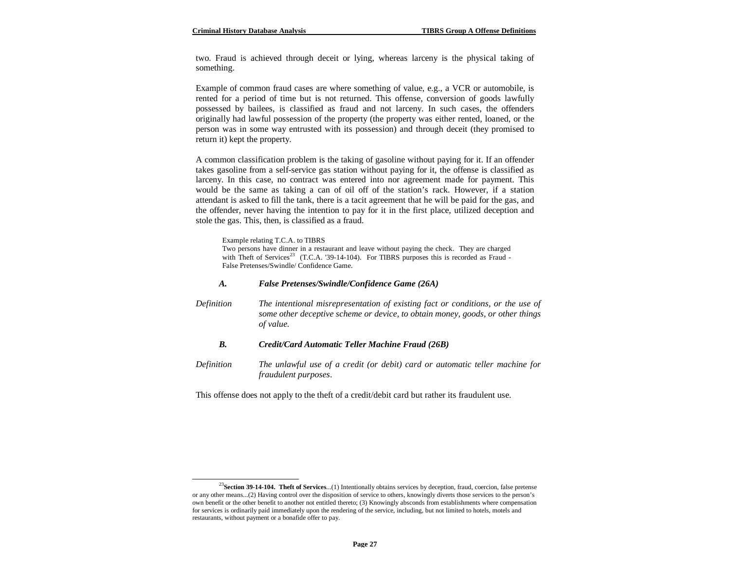two. Fraud is achieved through deceit or lying, whereas larceny is the physical taking of something.

Example of common fraud cases are where something of value, e.g., a VCR or automobile, is rented for a period of time but is not returned. This offense, conversion of goods lawfully possessed by bailees, is classified as fraud and not larceny. In such cases, the offenders originally had lawful possession of the property (the property was either rented, loaned, or the person was in some way entrusted with its possession) and through deceit (they promised to return it) kept the property.

A common classification problem is the taking of gasoline without paying for it. If an offender takes gasoline from a self-service gas station without paying for it, the offense is classified as larceny. In this case, no contract was entered into nor agreement made for payment. This would be the same as taking a can of oil off of the station's rack. However, if a station attendant is asked to fill the tank, there is a tacit agreement that he will be paid for the gas, and the offender, never having the intention to pay for it in the first place, utilized deception and stole the gas. This, then, is classified as a fraud.

Example relating T.C.A. to TIBRS

 $\overline{a}$ 

Two persons have dinner in a restaurant and leave without paying the check. They are charged with Theft of Services<sup>23</sup> (T.C.A. '39-14-104). For TIBRS purposes this is recorded as Fraud -False Pretenses/Swindle/ Confidence Game.

#### *A. False Pretenses/Swindle/Confidence Game (26A)*

*Definition The intentional misrepresentation of existing fact or conditions, or the use of some other deceptive scheme or device, to obtain money, goods, or other things of value.*

#### *B. Credit/Card Automatic Teller Machine Fraud (26B)*

*Definition The unlawful use of a credit (or debit) card or automatic teller machine for fraudulent purposes*.

This offense does not apply to the theft of a credit/debit card but rather its fraudulent use.

<sup>&</sup>lt;sup>23</sup>Section 39-14-104. Theft of Services...(1) Intentionally obtains services by deception, fraud, coercion, false pretense or any other means...(2) Having control over the disposition of service to others, knowingly diverts those services to the person's own benefit or the other benefit to another not entitled thereto; (3) Knowingly absconds from establishments where compensation for services is ordinarily paid immediately upon the rendering of the service, including, but not limited to hotels, motels and restaurants, without payment or a bonafide offer to pay.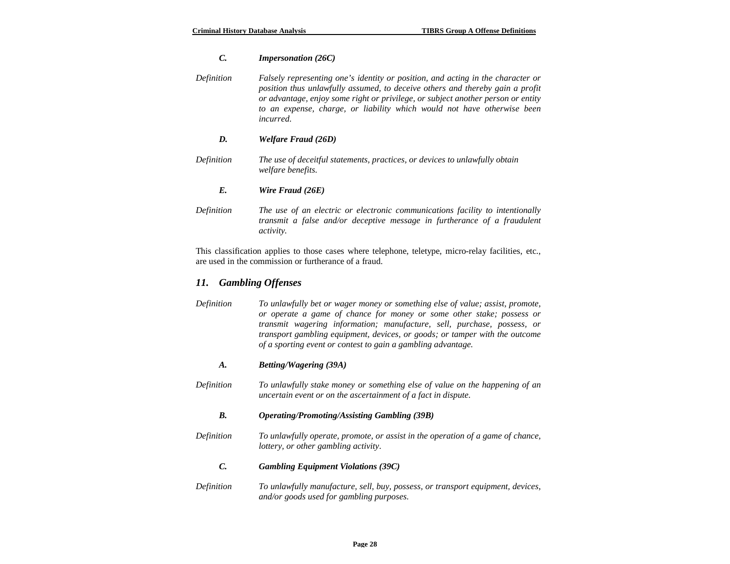# *C. Impersonation (26C)*

| Definition | Falsely representing one's identity or position, and acting in the character or<br>position thus unlawfully assumed, to deceive others and thereby gain a profit<br>or advantage, enjoy some right or privilege, or subject another person or entity<br>to an expense, charge, or liability which would not have otherwise been<br><i>incurred.</i> |
|------------|-----------------------------------------------------------------------------------------------------------------------------------------------------------------------------------------------------------------------------------------------------------------------------------------------------------------------------------------------------|
| D.         | Welfare Fraud (26D)                                                                                                                                                                                                                                                                                                                                 |
| Definition | The use of deceitful statements, practices, or devices to unlawfully obtain<br><i>welfare benefits.</i>                                                                                                                                                                                                                                             |
| E.         | Wire Fraud (26E)                                                                                                                                                                                                                                                                                                                                    |
| Definition | The use of an electric or electronic communications facility to intentionally<br>transmit a false and/or deceptive message in furtherance of a fraudulent                                                                                                                                                                                           |

This classification applies to those cases where telephone, teletype, micro-relay facilities, etc., are used in the commission or furtherance of a fraud.

# *11. Gambling Offenses*

*activity.*

| Definition | To unlawfully bet or wager money or something else of value; assist, promote,      |
|------------|------------------------------------------------------------------------------------|
|            | or operate a game of chance for money or some other stake; possess or              |
|            | transmit wagering information; manufacture, sell, purchase, possess, or            |
|            | <i>transport gambling equipment, devices, or goods; or tamper with the outcome</i> |
|            | of a sporting event or contest to gain a gambling advantage.                       |

## *A. Betting/Wagering (39A)*

*Definition To unlawfully stake money or something else of value on the happening of an uncertain event or on the ascertainment of a fact in dispute.*

## *B. Operating/Promoting/Assisting Gambling (39B)*

*Definition To unlawfully operate, promote, or assist in the operation of a game of chance, lottery, or other gambling activity*.

#### *C. Gambling Equipment Violations (39C)*

*Definition To unlawfully manufacture, sell, buy, possess, or transport equipment, devices, and/or goods used for gambling purposes.*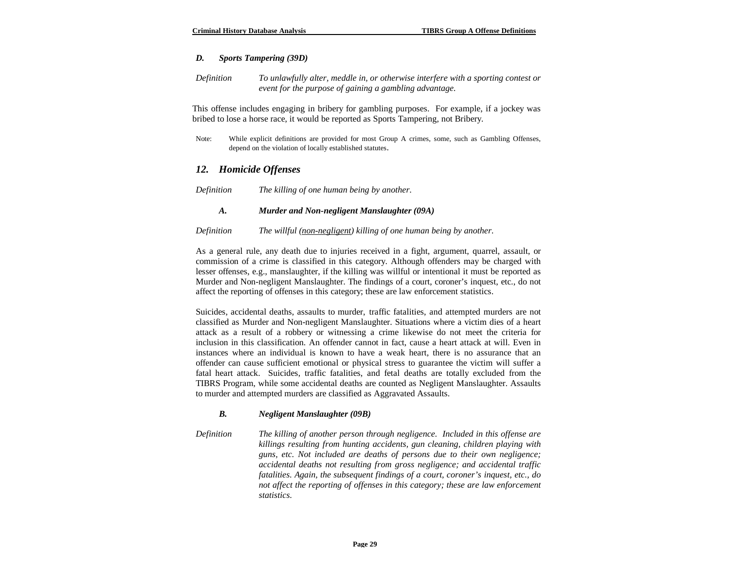## *D. Sports Tampering (39D)*

*Definition To unlawfully alter, meddle in, or otherwise interfere with a sporting contest or event for the purpose of gaining a gambling advantage.*

This offense includes engaging in bribery for gambling purposes. For example, if a jockey was bribed to lose a horse race, it would be reported as Sports Tampering, not Bribery.

Note: While explicit definitions are provided for most Group A crimes, some, such as Gambling Offenses, depend on the violation of locally established statutes.

# *12. Homicide Offenses*

| Definition |  | The killing of one human being by another. |
|------------|--|--------------------------------------------|

#### *A. Murder and Non-negligent Manslaughter (09A)*

*Definition The willful (non-negligent) killing of one human being by another.*

As a general rule, any death due to injuries received in a fight, argument, quarrel, assault, or commission of a crime is classified in this category. Although offenders may be charged with lesser offenses, e.g., manslaughter, if the killing was willful or intentional it must be reported as Murder and Non-negligent Manslaughter. The findings of a court, coroner's inquest, etc., do not affect the reporting of offenses in this category; these are law enforcement statistics.

Suicides, accidental deaths, assaults to murder, traffic fatalities, and attempted murders are not classified as Murder and Non-negligent Manslaughter. Situations where a victim dies of a heart attack as a result of a robbery or witnessing a crime likewise do not meet the criteria for inclusion in this classification. An offender cannot in fact, cause a heart attack at will. Even in instances where an individual is known to have a weak heart, there is no assurance that an offender can cause sufficient emotional or physical stress to guarantee the victim will suffer a fatal heart attack. Suicides, traffic fatalities, and fetal deaths are totally excluded from the TIBRS Program, while some accidental deaths are counted as Negligent Manslaughter. Assaults to murder and attempted murders are classified as Aggravated Assaults.

### *B. Negligent Manslaughter (09B)*

*Definition The killing of another person through negligence. Included in this offense are killings resulting from hunting accidents, gun cleaning, children playing with guns, etc. Not included are deaths of persons due to their own negligence; accidental deaths not resulting from gross negligence; and accidental traffic fatalities. Again, the subsequent findings of a court, coroner's inquest, etc., do not affect the reporting of offenses in this category; these are law enforcement statistics.*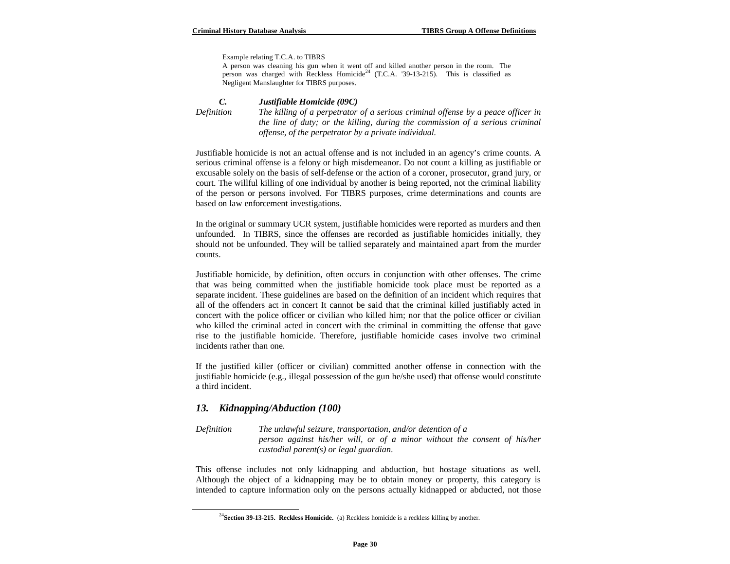Example relating T.C.A. to TIBRS

A person was cleaning his gun when it went off and killed another person in the room. The person was charged with Reckless Homicide<sup>24</sup> (T.C.A. '39-13-215). This is classified as Negligent Manslaughter for TIBRS purposes.

#### *C. Justifiable Homicide (09C)*

 $\overline{a}$ 

*Definition The killing of a perpetrator of a serious criminal offense by a peace officer in the line of duty; or the killing, during the commission of a serious criminal offense, of the perpetrator by a private individual.*

Justifiable homicide is not an actual offense and is not included in an agency's crime counts. A serious criminal offense is a felony or high misdemeanor. Do not count a killing as justifiable or excusable solely on the basis of self-defense or the action of a coroner, prosecutor, grand jury, or court. The willful killing of one individual by another is being reported, not the criminal liability of the person or persons involved. For TIBRS purposes, crime determinations and counts are based on law enforcement investigations.

In the original or summary UCR system, justifiable homicides were reported as murders and then unfounded. In TIBRS, since the offenses are recorded as justifiable homicides initially, they should not be unfounded. They will be tallied separately and maintained apart from the murder counts.

Justifiable homicide, by definition, often occurs in conjunction with other offenses. The crime that was being committed when the justifiable homicide took place must be reported as a separate incident. These guidelines are based on the definition of an incident which requires that all of the offenders act in concert It cannot be said that the criminal killed justifiably acted in concert with the police officer or civilian who killed him; nor that the police officer or civilian who killed the criminal acted in concert with the criminal in committing the offense that gave rise to the justifiable homicide. Therefore, justifiable homicide cases involve two criminal incidents rather than one.

If the justified killer (officer or civilian) committed another offense in connection with the justifiable homicide (e.g., illegal possession of the gun he/she used) that offense would constitute a third incident.

### *13. Kidnapping/Abduction (100)*

*Definition The unlawful seizure, transportation, and/or detention of a person against his/her will, or of a minor without the consent of his/her custodial parent(s) or legal guardian*.

This offense includes not only kidnapping and abduction, but hostage situations as well. Although the object of a kidnapping may be to obtain money or property, this category is intended to capture information only on the persons actually kidnapped or abducted, not those

<sup>24</sup>**Section 39-13-215. Reckless Homicide.** (a) Reckless homicide is a reckless killing by another.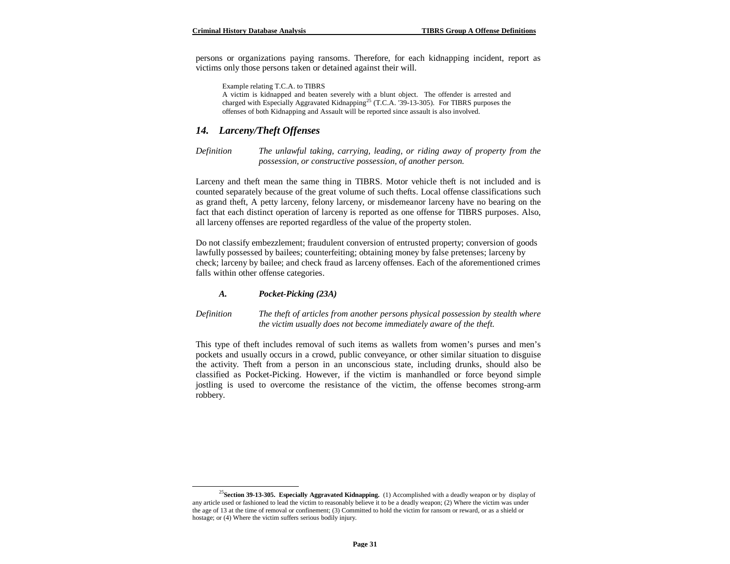persons or organizations paying ransoms. Therefore, for each kidnapping incident, report as victims only those persons taken or detained against their will.

Example relating T.C.A. to TIBRS

A victim is kidnapped and beaten severely with a blunt object. The offender is arrested and charged with Especially Aggravated Kidnapping<sup>25</sup> (T.C.A. '39-13-305). For TIBRS purposes the offenses of both Kidnapping and Assault will be reported since assault is also involved.

# *14. Larceny/Theft Offenses*

*Definition The unlawful taking, carrying, leading, or riding away of property from the possession, or constructive possession, of another person.*

Larceny and theft mean the same thing in TIBRS. Motor vehicle theft is not included and is counted separately because of the great volume of such thefts. Local offense classifications such as grand theft, A petty larceny, felony larceny, or misdemeanor larceny have no bearing on the fact that each distinct operation of larceny is reported as one offense for TIBRS purposes. Also, all larceny offenses are reported regardless of the value of the property stolen.

Do not classify embezzlement; fraudulent conversion of entrusted property; conversion of goods lawfully possessed by bailees; counterfeiting; obtaining money by false pretenses; larceny by check; larceny by bailee; and check fraud as larceny offenses. Each of the aforementioned crimes falls within other offense categories.

#### *A. Pocket-Picking (23A)*

 $\overline{a}$ 

#### *Definition The theft of articles from another persons physical possession by stealth where the victim usually does not become immediately aware of the theft.*

This type of theft includes removal of such items as wallets from women's purses and men's pockets and usually occurs in a crowd, public conveyance, or other similar situation to disguise the activity. Theft from a person in an unconscious state, including drunks, should also be classified as Pocket-Picking. However, if the victim is manhandled or force beyond simple jostling is used to overcome the resistance of the victim, the offense becomes strong-arm robbery.

<sup>25</sup>**Section 39-13-305. Especially Aggravated Kidnapping.** (1) Accomplished with a deadly weapon or by display of any article used or fashioned to lead the victim to reasonably believe it to be a deadly weapon; (2) Where the victim was under the age of 13 at the time of removal or confinement; (3) Committed to hold the victim for ransom or reward, or as a shield or hostage; or (4) Where the victim suffers serious bodily injury.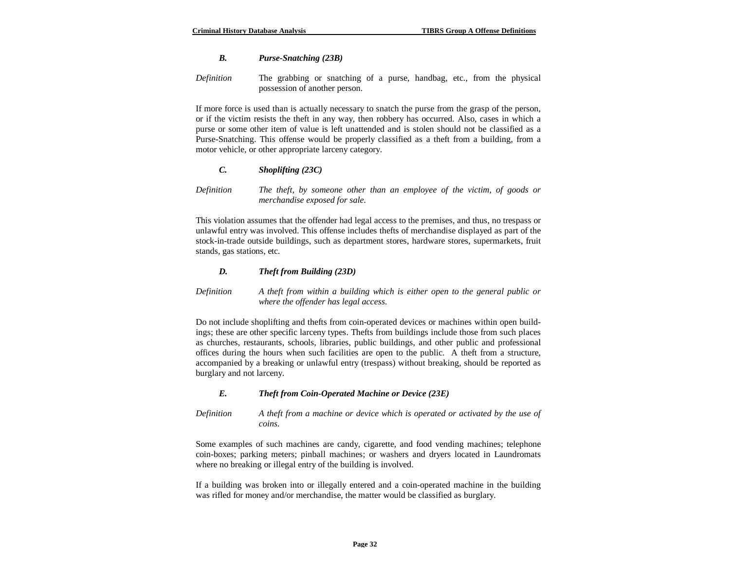## *B. Purse-Snatching (23B)*

*Definition* The grabbing or snatching of a purse, handbag, etc., from the physical possession of another person.

If more force is used than is actually necessary to snatch the purse from the grasp of the person, or if the victim resists the theft in any way, then robbery has occurred. Also, cases in which a purse or some other item of value is left unattended and is stolen should not be classified as a Purse-Snatching. This offense would be properly classified as a theft from a building, from a motor vehicle, or other appropriate larceny category.

### *C. Shoplifting (23C)*

*Definition The theft, by someone other than an employee of the victim, of goods or merchandise exposed for sale.*

This violation assumes that the offender had legal access to the premises, and thus, no trespass or unlawful entry was involved. This offense includes thefts of merchandise displayed as part of the stock-in-trade outside buildings, such as department stores, hardware stores, supermarkets, fruit stands, gas stations, etc.

### *D. Theft from Building (23D)*

*Definition A theft from within a building which is either open to the general public or where the offender has legal access.*

Do not include shoplifting and thefts from coin-operated devices or machines within open buildings; these are other specific larceny types. Thefts from buildings include those from such places as churches, restaurants, schools, libraries, public buildings, and other public and professional offices during the hours when such facilities are open to the public. A theft from a structure, accompanied by a breaking or unlawful entry (trespass) without breaking, should be reported as burglary and not larceny.

### *E. Theft from Coin-Operated Machine or Device (23E)*

*Definition A theft from a machine or device which is operated or activated by the use of coins.*

Some examples of such machines are candy, cigarette, and food vending machines; telephone coin-boxes; parking meters; pinball machines; or washers and dryers located in Laundromats where no breaking or illegal entry of the building is involved.

If a building was broken into or illegally entered and a coin-operated machine in the building was rifled for money and/or merchandise, the matter would be classified as burglary.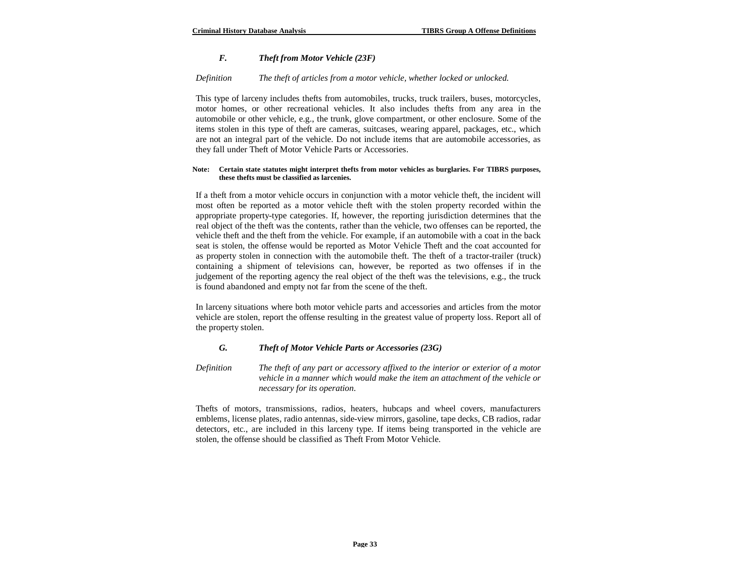#### *F. Theft from Motor Vehicle (23F)*

#### *Definition The theft of articles from a motor vehicle, whether locked or unlocked.*

This type of larceny includes thefts from automobiles, trucks, truck trailers, buses, motorcycles, motor homes, or other recreational vehicles. It also includes thefts from any area in the automobile or other vehicle, e.g., the trunk, glove compartment, or other enclosure. Some of the items stolen in this type of theft are cameras, suitcases, wearing apparel, packages, etc., which are not an integral part of the vehicle. Do not include items that are automobile accessories, as they fall under Theft of Motor Vehicle Parts or Accessories.

#### **Note: Certain state statutes might interpret thefts from motor vehicles as burglaries. For TIBRS purposes, these thefts must be classified as larcenies.**

If a theft from a motor vehicle occurs in conjunction with a motor vehicle theft, the incident will most often be reported as a motor vehicle theft with the stolen property recorded within the appropriate property-type categories. If, however, the reporting jurisdiction determines that the real object of the theft was the contents, rather than the vehicle, two offenses can be reported, the vehicle theft and the theft from the vehicle. For example, if an automobile with a coat in the back seat is stolen, the offense would be reported as Motor Vehicle Theft and the coat accounted for as property stolen in connection with the automobile theft. The theft of a tractor-trailer (truck) containing a shipment of televisions can, however, be reported as two offenses if in the judgement of the reporting agency the real object of the theft was the televisions, e.g., the truck is found abandoned and empty not far from the scene of the theft.

In larceny situations where both motor vehicle parts and accessories and articles from the motor vehicle are stolen, report the offense resulting in the greatest value of property loss. Report all of the property stolen.

#### *G. Theft of Motor Vehicle Parts or Accessories (23G)*

*Definition The theft of any part or accessory affixed to the interior or exterior of a motor vehicle in a manner which would make the item an attachment of the vehicle or necessary for its operation*.

Thefts of motors, transmissions, radios, heaters, hubcaps and wheel covers, manufacturers emblems, license plates, radio antennas, side-view mirrors, gasoline, tape decks, CB radios, radar detectors, etc., are included in this larceny type. If items being transported in the vehicle are stolen, the offense should be classified as Theft From Motor Vehicle.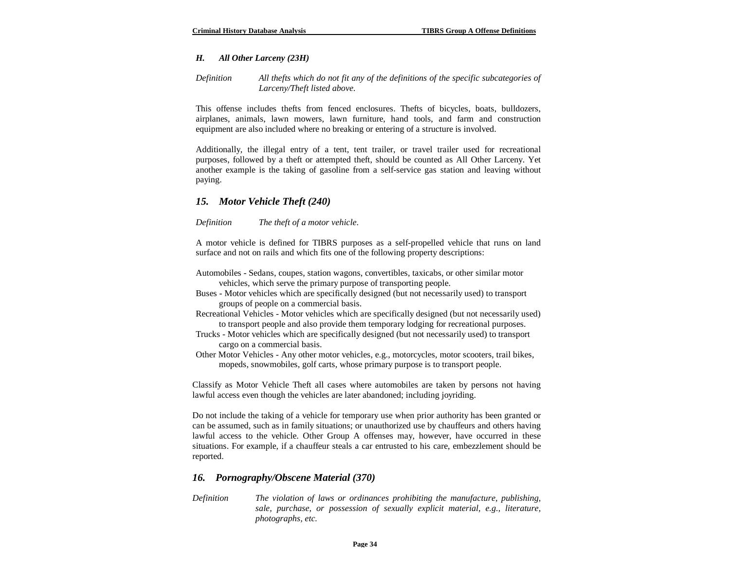#### *H. All Other Larceny (23H)*

*Definition All thefts which do not fit any of the definitions of the specific subcategories of Larceny/Theft listed above.*

This offense includes thefts from fenced enclosures. Thefts of bicycles, boats, bulldozers, airplanes, animals, lawn mowers, lawn furniture, hand tools, and farm and construction equipment are also included where no breaking or entering of a structure is involved.

Additionally, the illegal entry of a tent, tent trailer, or travel trailer used for recreational purposes, followed by a theft or attempted theft, should be counted as All Other Larceny. Yet another example is the taking of gasoline from a self-service gas station and leaving without paying.

## *15. Motor Vehicle Theft (240)*

*Definition The theft of a motor vehicle*.

A motor vehicle is defined for TIBRS purposes as a self-propelled vehicle that runs on land surface and not on rails and which fits one of the following property descriptions:

- Automobiles Sedans, coupes, station wagons, convertibles, taxicabs, or other similar motor vehicles, which serve the primary purpose of transporting people.
- Buses Motor vehicles which are specifically designed (but not necessarily used) to transport groups of people on a commercial basis.
- Recreational Vehicles Motor vehicles which are specifically designed (but not necessarily used) to transport people and also provide them temporary lodging for recreational purposes.
- Trucks Motor vehicles which are specifically designed (but not necessarily used) to transport cargo on a commercial basis.
- Other Motor Vehicles Any other motor vehicles, e.g., motorcycles, motor scooters, trail bikes, mopeds, snowmobiles, golf carts, whose primary purpose is to transport people.

Classify as Motor Vehicle Theft all cases where automobiles are taken by persons not having lawful access even though the vehicles are later abandoned; including joyriding.

Do not include the taking of a vehicle for temporary use when prior authority has been granted or can be assumed, such as in family situations; or unauthorized use by chauffeurs and others having lawful access to the vehicle. Other Group A offenses may, however, have occurred in these situations. For example, if a chauffeur steals a car entrusted to his care, embezzlement should be reported.

#### *16. Pornography/Obscene Material (370)*

*Definition The violation of laws or ordinances prohibiting the manufacture, publishing, sale, purchase, or possession of sexually explicit material, e.g., literature, photographs, etc.*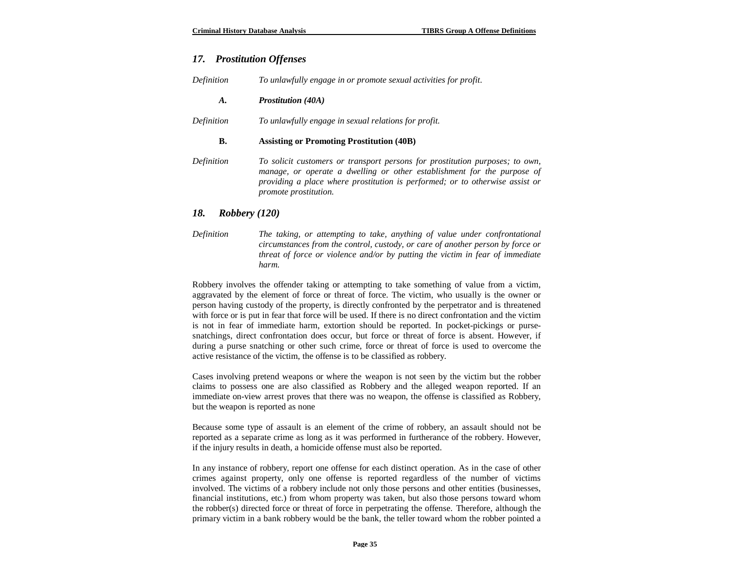# *17. Prostitution Offenses*

| Definition | To unlawfully engage in or promote sexual activities for profit.                                                                                                                                                                                                        |
|------------|-------------------------------------------------------------------------------------------------------------------------------------------------------------------------------------------------------------------------------------------------------------------------|
| A.         | <b>Prostitution</b> (40A)                                                                                                                                                                                                                                               |
| Definition | To unlawfully engage in sexual relations for profit.                                                                                                                                                                                                                    |
| В.         | <b>Assisting or Promoting Prostitution (40B)</b>                                                                                                                                                                                                                        |
| Definition | To solicit customers or transport persons for prostitution purposes; to own,<br>manage, or operate a dwelling or other establishment for the purpose of<br>providing a place where prostitution is performed; or to otherwise assist or<br><i>promote prostitution.</i> |

### *18. Robbery (120)*

*Definition The taking, or attempting to take, anything of value under confrontational circumstances from the control, custody, or care of another person by force or threat of force or violence and/or by putting the victim in fear of immediate harm.*

Robbery involves the offender taking or attempting to take something of value from a victim, aggravated by the element of force or threat of force. The victim, who usually is the owner or person having custody of the property, is directly confronted by the perpetrator and is threatened with force or is put in fear that force will be used. If there is no direct confrontation and the victim is not in fear of immediate harm, extortion should be reported. In pocket-pickings or pursesnatchings, direct confrontation does occur, but force or threat of force is absent. However, if during a purse snatching or other such crime, force or threat of force is used to overcome the active resistance of the victim, the offense is to be classified as robbery.

Cases involving pretend weapons or where the weapon is not seen by the victim but the robber claims to possess one are also classified as Robbery and the alleged weapon reported. If an immediate on-view arrest proves that there was no weapon, the offense is classified as Robbery, but the weapon is reported as none

Because some type of assault is an element of the crime of robbery, an assault should not be reported as a separate crime as long as it was performed in furtherance of the robbery. However, if the injury results in death, a homicide offense must also be reported.

In any instance of robbery, report one offense for each distinct operation. As in the case of other crimes against property, only one offense is reported regardless of the number of victims involved. The victims of a robbery include not only those persons and other entities (businesses, financial institutions, etc.) from whom property was taken, but also those persons toward whom the robber(s) directed force or threat of force in perpetrating the offense. Therefore, although the primary victim in a bank robbery would be the bank, the teller toward whom the robber pointed a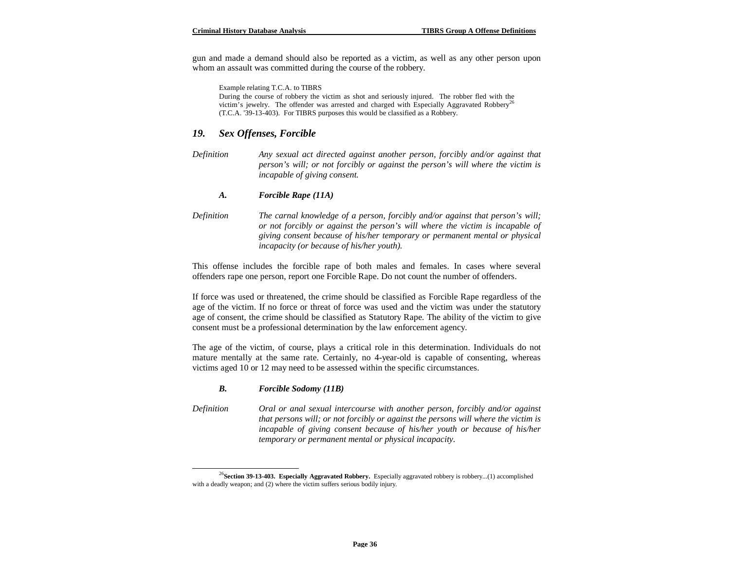gun and made a demand should also be reported as a victim, as well as any other person upon whom an assault was committed during the course of the robbery.

Example relating T.C.A. to TIBRS

During the course of robbery the victim as shot and seriously injured. The robber fled with the victim's jewelry. The offender was arrested and charged with Especially Aggravated Robbery<sup>2</sup> (T.C.A. '39-13-403). For TIBRS purposes this would be classified as a Robbery.

#### *19. Sex Offenses, Forcible*

*Definition Any sexual act directed against another person, forcibly and/or against that person's will; or not forcibly or against the person's will where the victim is incapable of giving consent.*

#### *A. Forcible Rape (11A)*

*Definition The carnal knowledge of a person, forcibly and/or against that person's will; or not forcibly or against the person's will where the victim is incapable of giving consent because of his/her temporary or permanent mental or physical incapacity (or because of his/her youth).*

This offense includes the forcible rape of both males and females. In cases where several offenders rape one person, report one Forcible Rape. Do not count the number of offenders.

If force was used or threatened, the crime should be classified as Forcible Rape regardless of the age of the victim. If no force or threat of force was used and the victim was under the statutory age of consent, the crime should be classified as Statutory Rape. The ability of the victim to give consent must be a professional determination by the law enforcement agency.

The age of the victim, of course, plays a critical role in this determination. Individuals do not mature mentally at the same rate. Certainly, no 4-year-old is capable of consenting, whereas victims aged 10 or 12 may need to be assessed within the specific circumstances.

#### *B. Forcible Sodomy (11B)*

 $\overline{a}$ 

*Definition Oral or anal sexual intercourse with another person, forcibly and/or against that persons will; or not forcibly or against the persons will where the victim is incapable of giving consent because of his/her youth or because of his/her temporary or permanent mental or physical incapacity.*

<sup>26</sup>**Section 39-13-403. Especially Aggravated Robbery.** Especially aggravated robbery is robbery...(1) accomplished with a deadly weapon; and (2) where the victim suffers serious bodily injury.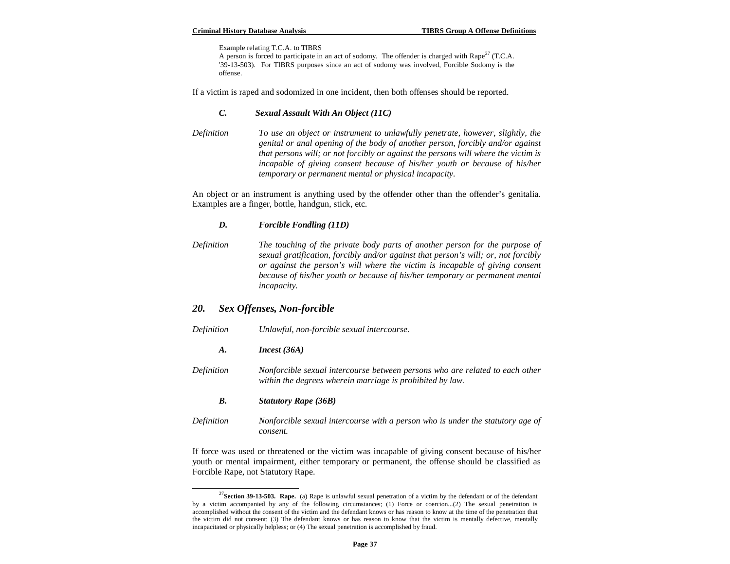Example relating T.C.A. to TIBRS

A person is forced to participate in an act of sodomy. The offender is charged with Rape<sup>27</sup> (T.C.A. '39-13-503). For TIBRS purposes since an act of sodomy was involved, Forcible Sodomy is the offense.

If a victim is raped and sodomized in one incident, then both offenses should be reported.

#### *C. Sexual Assault With An Object (11C)*

*Definition To use an object or instrument to unlawfully penetrate, however, slightly, the genital or anal opening of the body of another person, forcibly and/or against that persons will; or not forcibly or against the persons will where the victim is incapable of giving consent because of his/her youth or because of his/her temporary or permanent mental or physical incapacity.*

An object or an instrument is anything used by the offender other than the offender's genitalia. Examples are a finger, bottle, handgun, stick, etc.

#### *D. Forcible Fondling (11D)*

*Definition The touching of the private body parts of another person for the purpose of sexual gratification, forcibly and/or against that person's will; or, not forcibly or against the person's will where the victim is incapable of giving consent because of his/her youth or because of his/her temporary or permanent mental incapacity.*

# *20. Sex Offenses, Non-forcible*

 $\overline{a}$ 

| Definition | Unlawful, non-forcible sexual intercourse.                                                                                                |
|------------|-------------------------------------------------------------------------------------------------------------------------------------------|
| A.         | Incest (36A)                                                                                                                              |
| Definition | Nonforcible sexual intercourse between persons who are related to each other<br>within the degrees wherein marriage is prohibited by law. |
| В.         | <b>Statutory Rape (36B)</b>                                                                                                               |
| Definition | Nonforcible sexual intercourse with a person who is under the statutory age of<br>consent.                                                |

If force was used or threatened or the victim was incapable of giving consent because of his/her youth or mental impairment, either temporary or permanent, the offense should be classified as Forcible Rape, not Statutory Rape.

<sup>27</sup>**Section 39-13-503. Rape.** (a) Rape is unlawful sexual penetration of a victim by the defendant or of the defendant by a victim accompanied by any of the following circumstances; (1) Force or coercion...(2) The sexual penetration is accomplished without the consent of the victim and the defendant knows or has reason to know at the time of the penetration that the victim did not consent; (3) The defendant knows or has reason to know that the victim is mentally defective, mentally incapacitated or physically helpless; or (4) The sexual penetration is accomplished by fraud.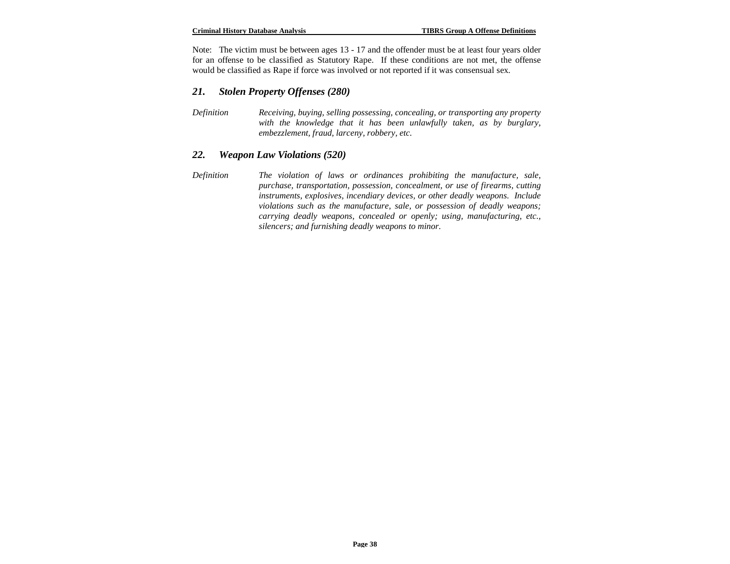Note: The victim must be between ages 13 - 17 and the offender must be at least four years older for an offense to be classified as Statutory Rape. If these conditions are not met, the offense would be classified as Rape if force was involved or not reported if it was consensual sex.

# *21. Stolen Property Offenses (280)*

*Definition Receiving, buying, selling possessing, concealing, or transporting any property with the knowledge that it has been unlawfully taken, as by burglary, embezzlement, fraud, larceny, robbery, etc.*

# *22. Weapon Law Violations (520)*

*Definition The violation of laws or ordinances prohibiting the manufacture, sale, purchase, transportation, possession, concealment, or use of firearms, cutting instruments, explosives, incendiary devices, or other deadly weapons. Include violations such as the manufacture, sale, or possession of deadly weapons; carrying deadly weapons, concealed or openly; using, manufacturing, etc., silencers; and furnishing deadly weapons to minor.*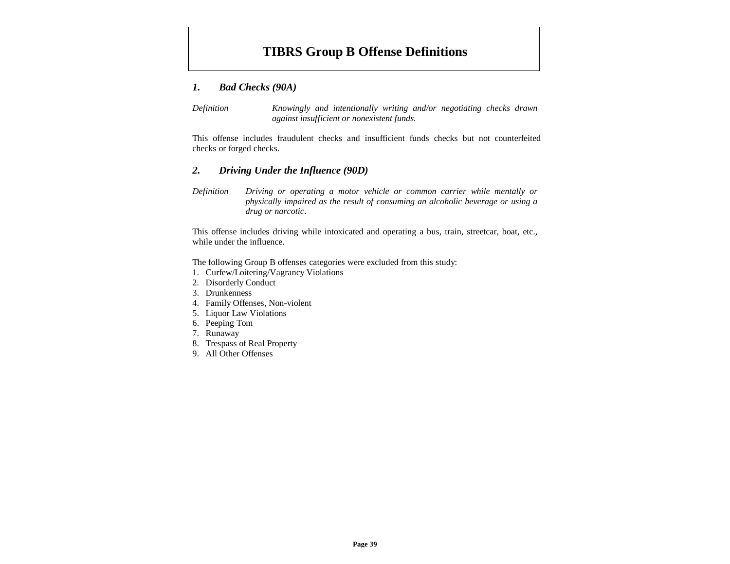# **TIBRS Group B Offense Definitions**

# *1. Bad Checks (90A)*

*Definition Knowingly and intentionally writing and/or negotiating checks drawn against insufficient or nonexistent funds.*

This offense includes fraudulent checks and insufficient funds checks but not counterfeited checks or forged checks.

# *2. Driving Under the Influence (90D)*

*Definition Driving or operating a motor vehicle or common carrier while mentally or physically impaired as the result of consuming an alcoholic beverage or using a drug or narcotic*.

This offense includes driving while intoxicated and operating a bus, train, streetcar, boat, etc., while under the influence.

The following Group B offenses categories were excluded from this study:

- 1. Curfew/Loitering/Vagrancy Violations
- 2. Disorderly Conduct
- 3. Drunkenness
- 4. Family Offenses, Non-violent
- 5. Liquor Law Violations
- 6. Peeping Tom
- 7. Runaway
- 8. Trespass of Real Property
- 9. All Other Offenses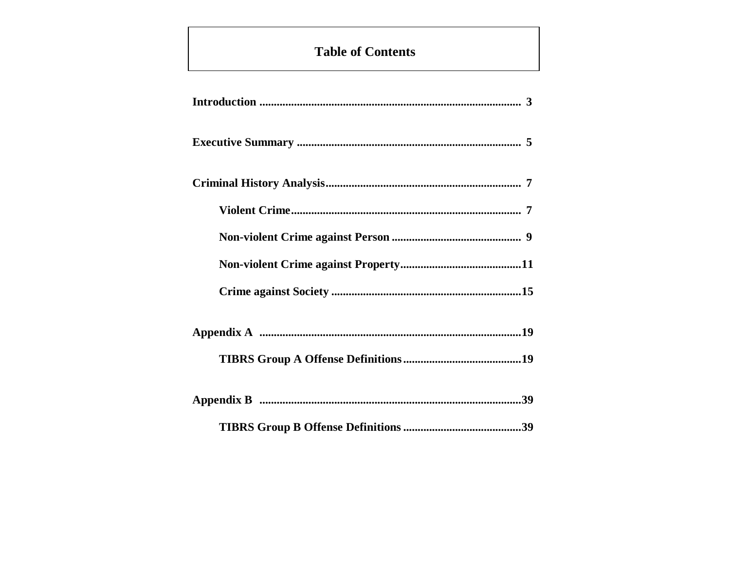# **Table of Contents**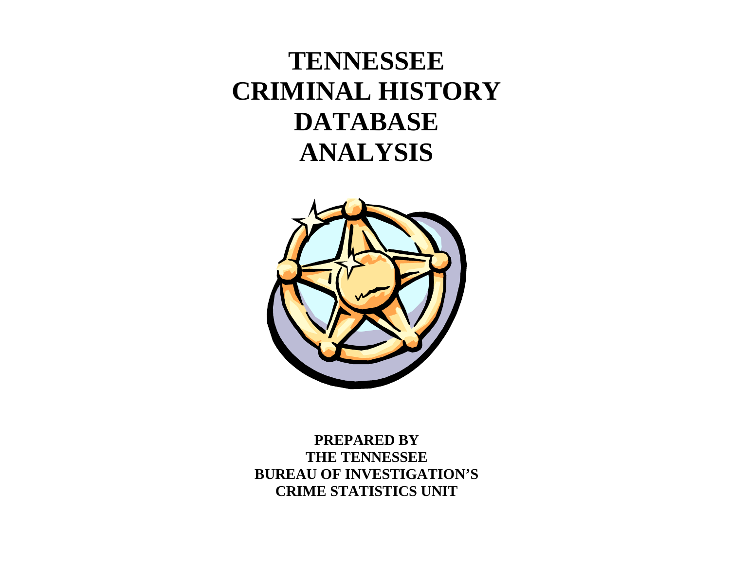# **TENNESSEE CRIMINAL HISTORY DATABASE ANALYSIS**



**PREPARED BY THE TENNESSEE BUREAU OF INVESTIGATION'S CRIME STATISTICS UNIT**